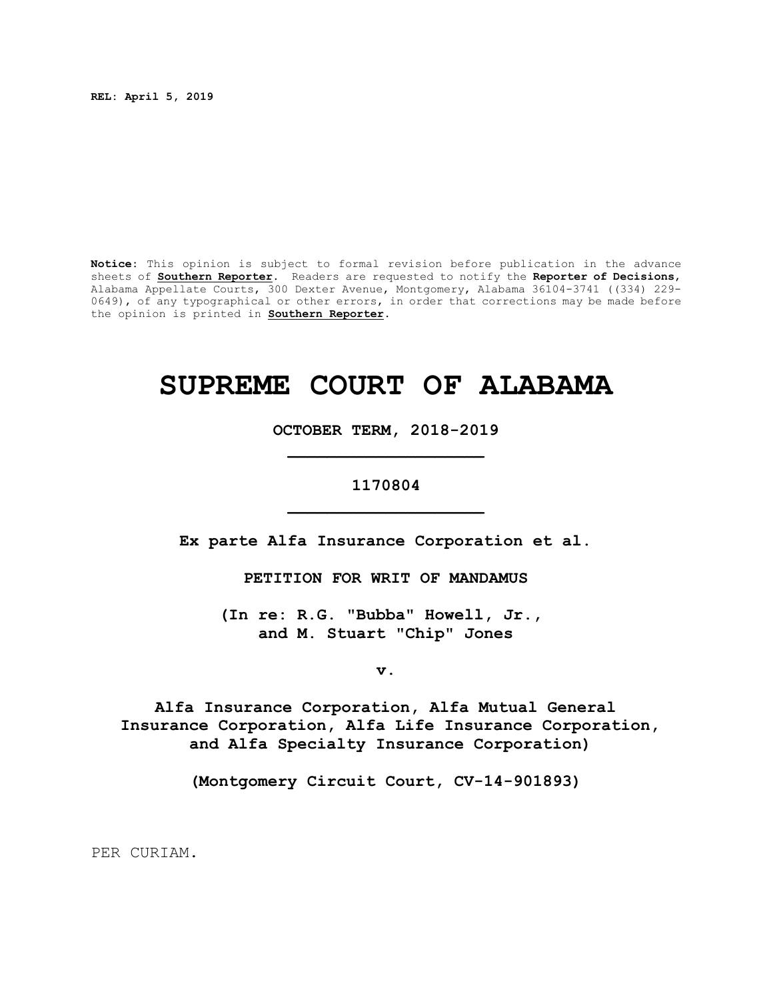**REL: April 5, 2019** 

**Notice:** This opinion is subject to formal revision before publication in the advance sheets of **Southern Reporter**. Readers are requested to notify the **Reporter of Decisions**, Alabama Appellate Courts, 300 Dexter Avenue, Montgomery, Alabama 36104-3741 ((334) 229- 0649), of any typographical or other errors, in order that corrections may be made before the opinion is printed in **Southern Reporter**.

# **SUPREME COURT OF ALABAMA**

**OCTOBER TERM, 2018-2019 \_\_\_\_\_\_\_\_\_\_\_\_\_\_\_\_\_\_\_\_**

## **1170804 \_\_\_\_\_\_\_\_\_\_\_\_\_\_\_\_\_\_\_\_**

**Ex parte Alfa Insurance Corporation et al.**

**PETITION FOR WRIT OF MANDAMUS**

**(In re: R.G. "Bubba" Howell, Jr., and M. Stuart "Chip" Jones**

**v.**

**Alfa Insurance Corporation, Alfa Mutual General Insurance Corporation, Alfa Life Insurance Corporation, and Alfa Specialty Insurance Corporation)**

**(Montgomery Circuit Court, CV-14-901893)**

PER CURIAM.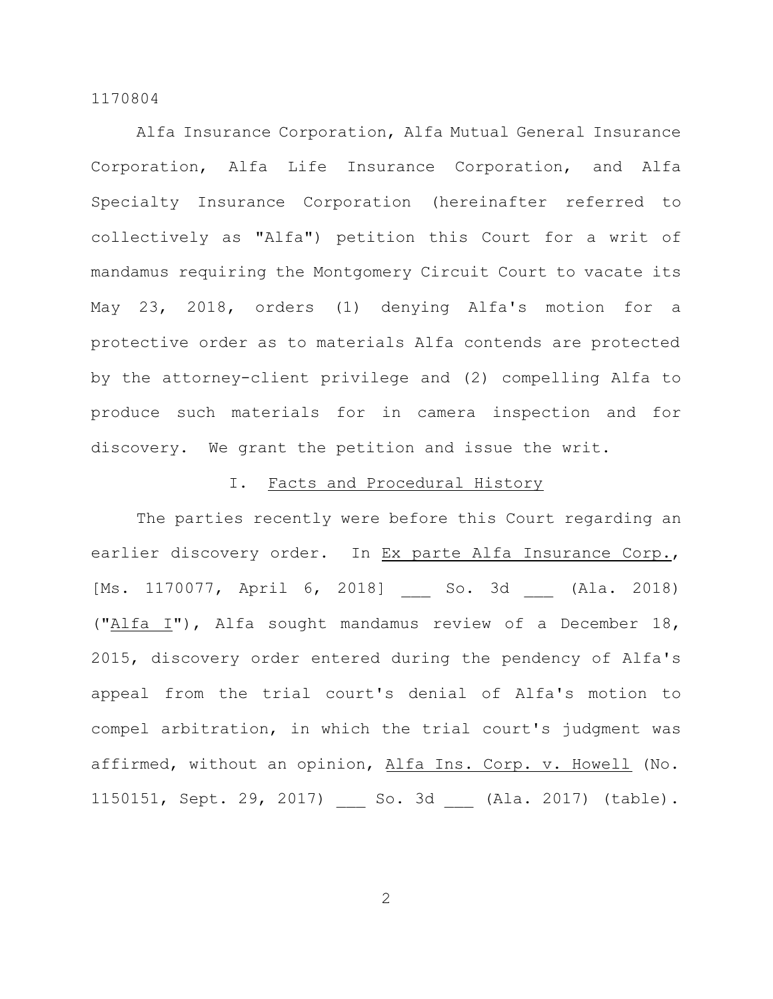Alfa Insurance Corporation, Alfa Mutual General Insurance Corporation, Alfa Life Insurance Corporation, and Alfa Specialty Insurance Corporation (hereinafter referred to collectively as "Alfa") petition this Court for a writ of mandamus requiring the Montgomery Circuit Court to vacate its May 23, 2018, orders (1) denying Alfa's motion for a protective order as to materials Alfa contends are protected by the attorney-client privilege and (2) compelling Alfa to produce such materials for in camera inspection and for discovery. We grant the petition and issue the writ.

## I. Facts and Procedural History

The parties recently were before this Court regarding an earlier discovery order. In Ex parte Alfa Insurance Corp., [Ms. 1170077, April 6, 2018] So. 3d (Ala. 2018) ("Alfa I"), Alfa sought mandamus review of a December 18, 2015, discovery order entered during the pendency of Alfa's appeal from the trial court's denial of Alfa's motion to compel arbitration, in which the trial court's judgment was affirmed, without an opinion, Alfa Ins. Corp. v. Howell (No. 1150151, Sept. 29, 2017) \_\_\_ So. 3d \_\_\_ (Ala. 2017) (table).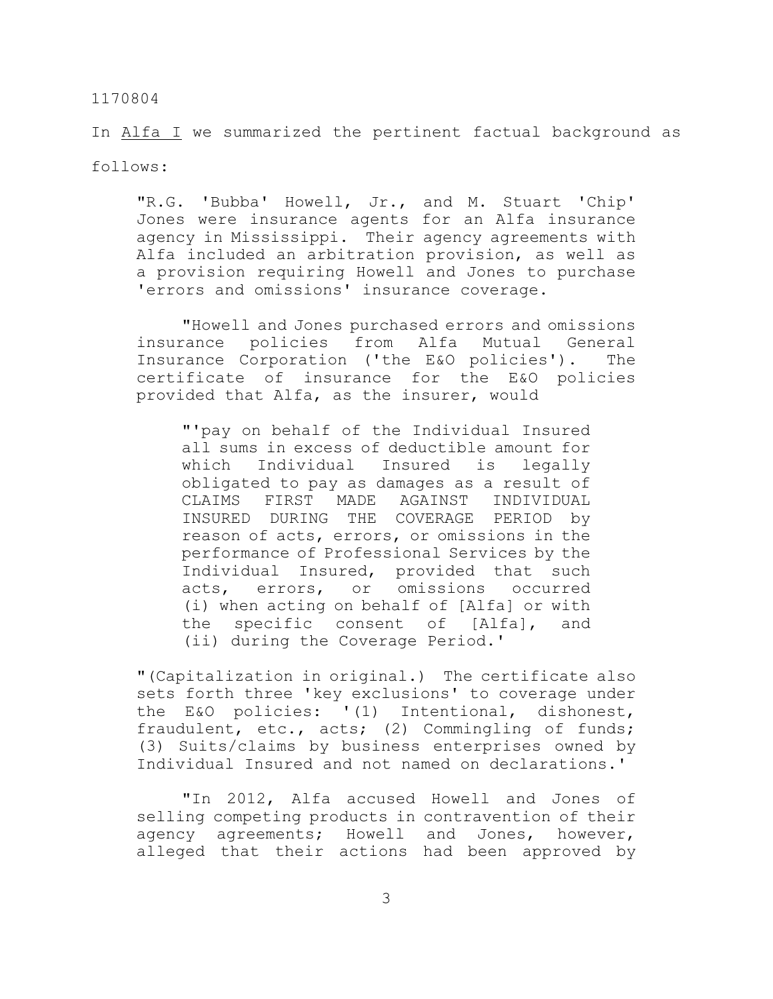In Alfa I we summarized the pertinent factual background as follows:

"R.G. 'Bubba' Howell, Jr., and M. Stuart 'Chip' Jones were insurance agents for an Alfa insurance agency in Mississippi. Their agency agreements with Alfa included an arbitration provision, as well as a provision requiring Howell and Jones to purchase 'errors and omissions' insurance coverage.

"Howell and Jones purchased errors and omissions insurance policies from Alfa Mutual General Insurance Corporation ('the E&O policies'). The certificate of insurance for the E&O policies provided that Alfa, as the insurer, would

"'pay on behalf of the Individual Insured all sums in excess of deductible amount for which Individual Insured is legally obligated to pay as damages as a result of CLAIMS FIRST MADE AGAINST INDIVIDUAL INSURED DURING THE COVERAGE PERIOD by reason of acts, errors, or omissions in the performance of Professional Services by the Individual Insured, provided that such acts, errors, or omissions occurred (i) when acting on behalf of [Alfa] or with the specific consent of [Alfa], and (ii) during the Coverage Period.'

"(Capitalization in original.) The certificate also sets forth three 'key exclusions' to coverage under the E&O policies: '(1) Intentional, dishonest, fraudulent, etc., acts; (2) Commingling of funds; (3) Suits/claims by business enterprises owned by Individual Insured and not named on declarations.'

"In 2012, Alfa accused Howell and Jones of selling competing products in contravention of their agency agreements; Howell and Jones, however, alleged that their actions had been approved by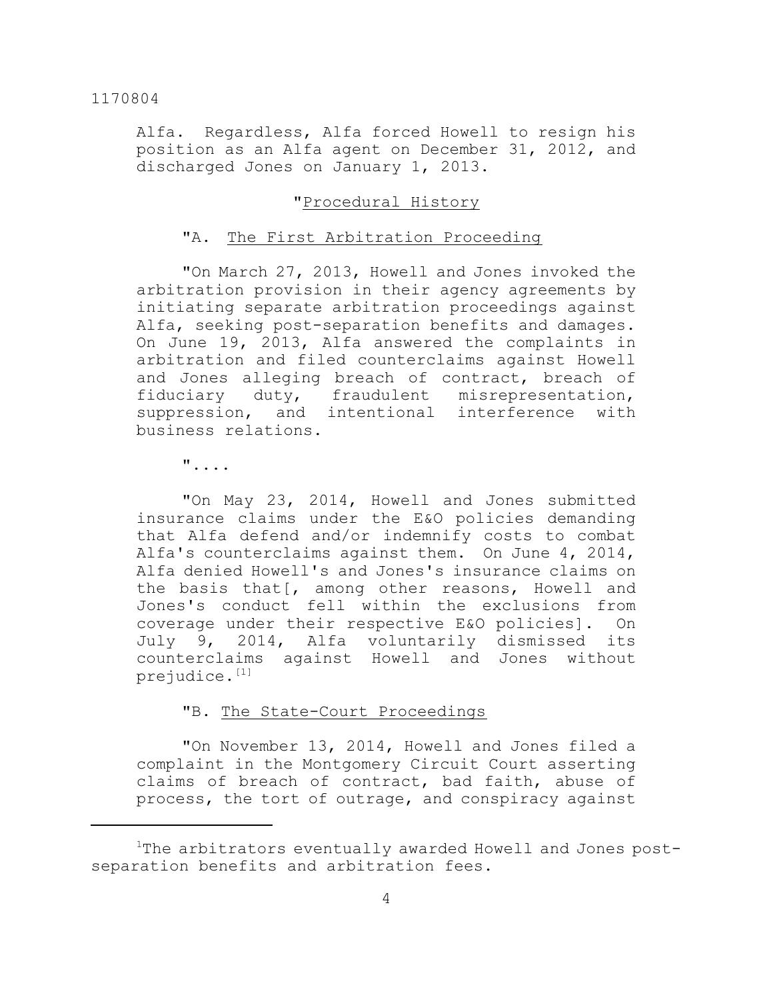Alfa. Regardless, Alfa forced Howell to resign his position as an Alfa agent on December 31, 2012, and discharged Jones on January 1, 2013.

## "Procedural History

## "A. The First Arbitration Proceeding

"On March 27, 2013, Howell and Jones invoked the arbitration provision in their agency agreements by initiating separate arbitration proceedings against Alfa, seeking post-separation benefits and damages. On June 19, 2013, Alfa answered the complaints in arbitration and filed counterclaims against Howell and Jones alleging breach of contract, breach of fiduciary duty, fraudulent misrepresentation, suppression, and intentional interference with business relations.

"....

"On May 23, 2014, Howell and Jones submitted insurance claims under the E&O policies demanding that Alfa defend and/or indemnify costs to combat Alfa's counterclaims against them. On June 4, 2014, Alfa denied Howell's and Jones's insurance claims on the basis that[, among other reasons, Howell and Jones's conduct fell within the exclusions from coverage under their respective E&O policies]. On July 9, 2014, Alfa voluntarily dismissed its counterclaims against Howell and Jones without prejudice.<sup>[1]</sup>

## "B. The State-Court Proceedings

"On November 13, 2014, Howell and Jones filed a complaint in the Montgomery Circuit Court asserting claims of breach of contract, bad faith, abuse of process, the tort of outrage, and conspiracy against

<sup>&</sup>lt;sup>1</sup>The arbitrators eventually awarded Howell and Jones postseparation benefits and arbitration fees.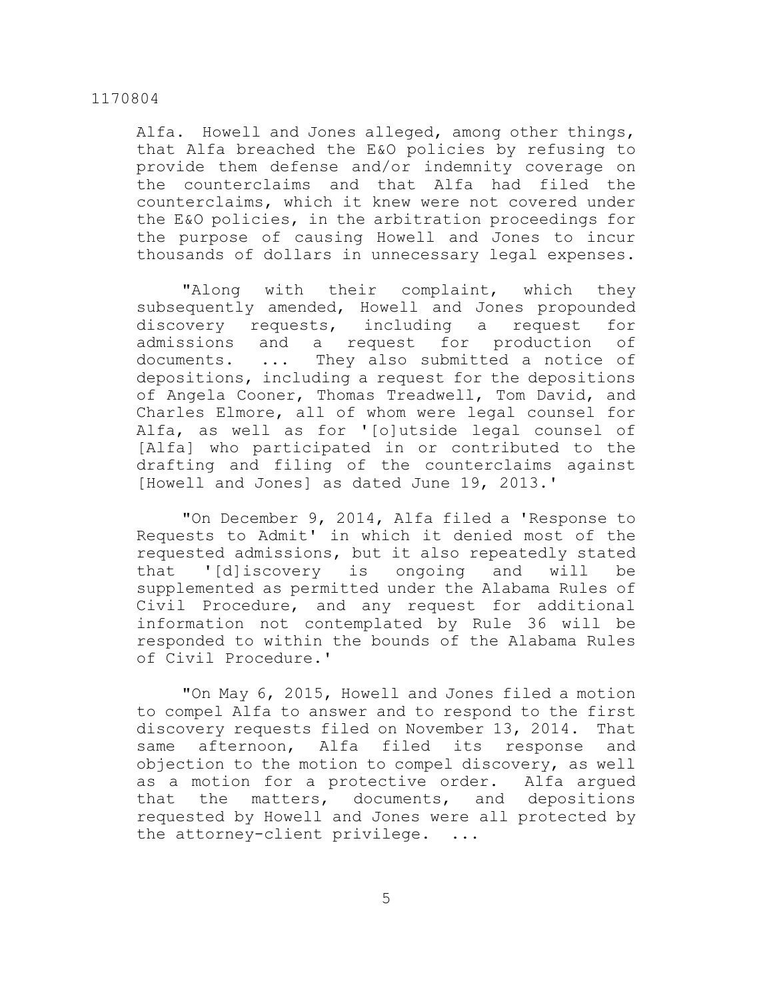Alfa. Howell and Jones alleged, among other things, that Alfa breached the E&O policies by refusing to provide them defense and/or indemnity coverage on the counterclaims and that Alfa had filed the counterclaims, which it knew were not covered under the E&O policies, in the arbitration proceedings for the purpose of causing Howell and Jones to incur thousands of dollars in unnecessary legal expenses.

"Along with their complaint, which they subsequently amended, Howell and Jones propounded discovery requests, including a request for admissions and a request for production of documents. ... They also submitted a notice of depositions, including a request for the depositions of Angela Cooner, Thomas Treadwell, Tom David, and Charles Elmore, all of whom were legal counsel for Alfa, as well as for '[o]utside legal counsel of [Alfa] who participated in or contributed to the drafting and filing of the counterclaims against [Howell and Jones] as dated June 19, 2013.'

"On December 9, 2014, Alfa filed a 'Response to Requests to Admit' in which it denied most of the requested admissions, but it also repeatedly stated that '[d]iscovery is ongoing and will be supplemented as permitted under the Alabama Rules of Civil Procedure, and any request for additional information not contemplated by Rule 36 will be responded to within the bounds of the Alabama Rules of Civil Procedure.'

"On May 6, 2015, Howell and Jones filed a motion to compel Alfa to answer and to respond to the first discovery requests filed on November 13, 2014. That same afternoon, Alfa filed its response and objection to the motion to compel discovery, as well as a motion for a protective order. Alfa argued that the matters, documents, and depositions requested by Howell and Jones were all protected by the attorney-client privilege. ...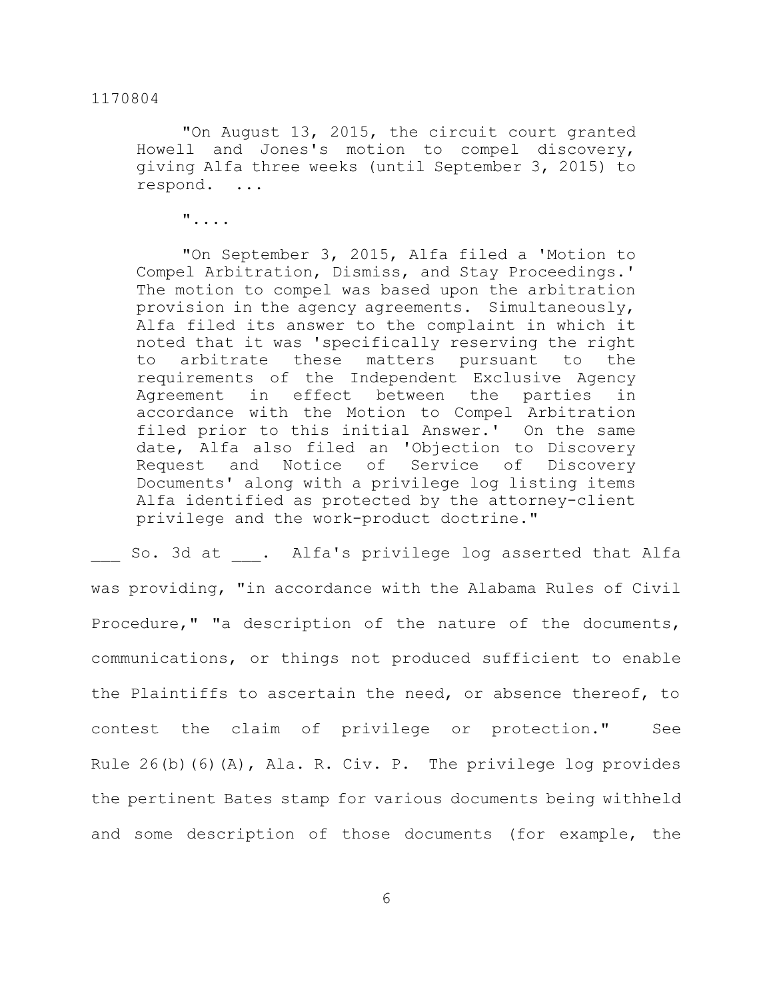"On August 13, 2015, the circuit court granted Howell and Jones's motion to compel discovery, giving Alfa three weeks (until September 3, 2015) to respond. ...

"....

"On September 3, 2015, Alfa filed a 'Motion to Compel Arbitration, Dismiss, and Stay Proceedings.' The motion to compel was based upon the arbitration provision in the agency agreements. Simultaneously, Alfa filed its answer to the complaint in which it noted that it was 'specifically reserving the right to arbitrate these matters pursuant to the requirements of the Independent Exclusive Agency Agreement in effect between the parties in accordance with the Motion to Compel Arbitration filed prior to this initial Answer.' On the same date, Alfa also filed an 'Objection to Discovery Request and Notice of Service of Discovery Documents' along with a privilege log listing items Alfa identified as protected by the attorney-client privilege and the work-product doctrine."

So. 3d at . Alfa's privilege log asserted that Alfa was providing, "in accordance with the Alabama Rules of Civil Procedure," "a description of the nature of the documents, communications, or things not produced sufficient to enable the Plaintiffs to ascertain the need, or absence thereof, to contest the claim of privilege or protection." See Rule 26(b)(6)(A), Ala. R. Civ. P. The privilege log provides the pertinent Bates stamp for various documents being withheld and some description of those documents (for example, the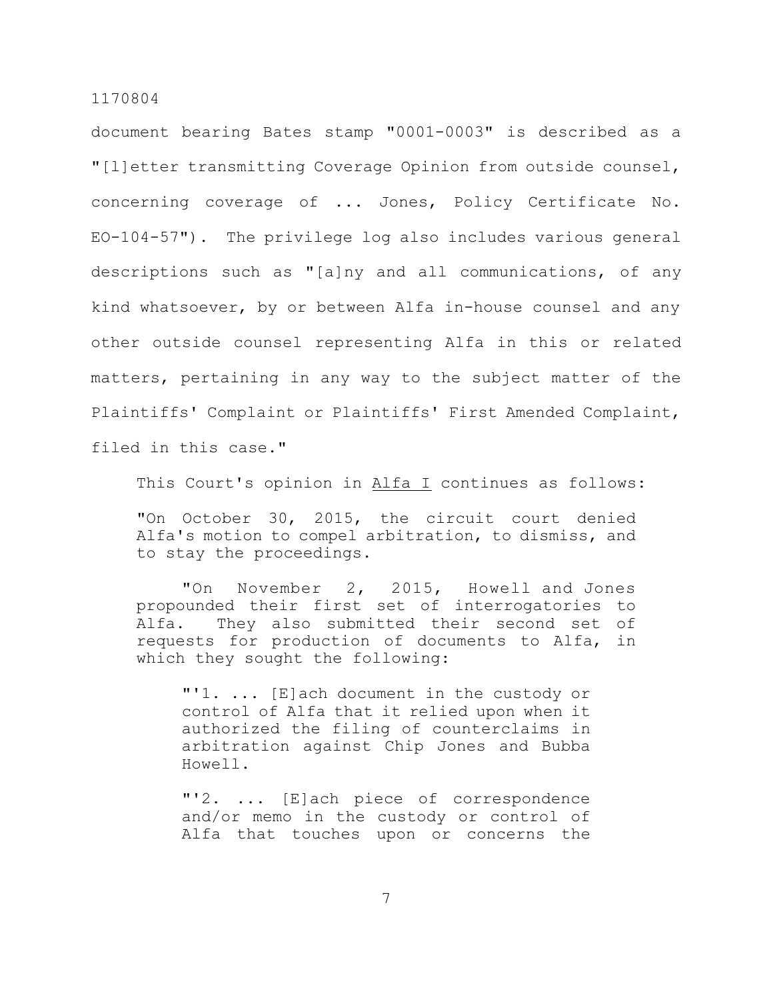document bearing Bates stamp "0001-0003" is described as a "[l]etter transmitting Coverage Opinion from outside counsel, concerning coverage of ... Jones, Policy Certificate No. EO-104-57"). The privilege log also includes various general descriptions such as "[a]ny and all communications, of any kind whatsoever, by or between Alfa in-house counsel and any other outside counsel representing Alfa in this or related matters, pertaining in any way to the subject matter of the Plaintiffs' Complaint or Plaintiffs' First Amended Complaint, filed in this case."

This Court's opinion in Alfa I continues as follows:

"On October 30, 2015, the circuit court denied Alfa's motion to compel arbitration, to dismiss, and to stay the proceedings.

 "On November 2, 2015, Howell and Jones propounded their first set of interrogatories to Alfa. They also submitted their second set of requests for production of documents to Alfa, in which they sought the following:

"'1. ... [E]ach document in the custody or control of Alfa that it relied upon when it authorized the filing of counterclaims in arbitration against Chip Jones and Bubba Howell.

"'2. ... [E]ach piece of correspondence and/or memo in the custody or control of Alfa that touches upon or concerns the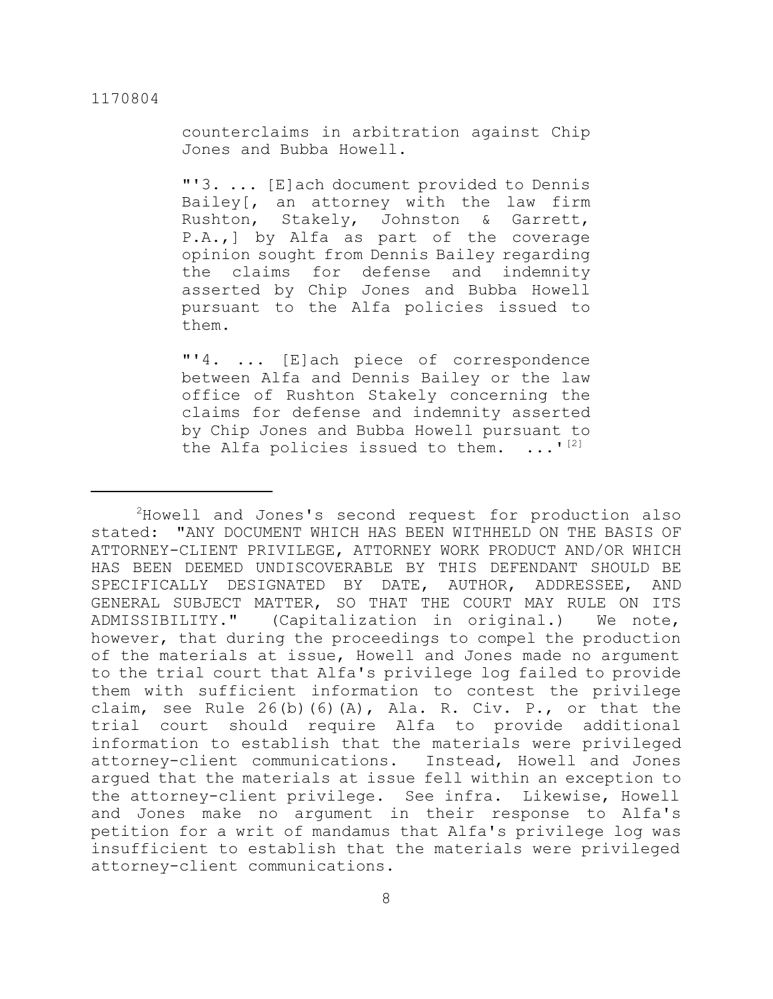counterclaims in arbitration against Chip Jones and Bubba Howell.

"'3. ... [E]ach document provided to Dennis Bailey[, an attorney with the law firm Rushton, Stakely, Johnston & Garrett, P.A.,] by Alfa as part of the coverage opinion sought from Dennis Bailey regarding the claims for defense and indemnity asserted by Chip Jones and Bubba Howell pursuant to the Alfa policies issued to them.

"'4. ... [E]ach piece of correspondence between Alfa and Dennis Bailey or the law office of Rushton Stakely concerning the claims for defense and indemnity asserted by Chip Jones and Bubba Howell pursuant to the Alfa policies issued to them.  $\ldots$ <sup>[2]</sup>

<sup>&</sup>lt;sup>2</sup>Howell and Jones's second request for production also stated: "ANY DOCUMENT WHICH HAS BEEN WITHHELD ON THE BASIS OF ATTORNEY-CLIENT PRIVILEGE, ATTORNEY WORK PRODUCT AND/OR WHICH HAS BEEN DEEMED UNDISCOVERABLE BY THIS DEFENDANT SHOULD BE SPECIFICALLY DESIGNATED BY DATE, AUTHOR, ADDRESSEE, AND GENERAL SUBJECT MATTER, SO THAT THE COURT MAY RULE ON ITS ADMISSIBILITY." (Capitalization in original.) We note, however, that during the proceedings to compel the production of the materials at issue, Howell and Jones made no argument to the trial court that Alfa's privilege log failed to provide them with sufficient information to contest the privilege claim, see Rule  $26(b)$  (6)(A), Ala. R. Civ. P., or that the trial court should require Alfa to provide additional information to establish that the materials were privileged attorney-client communications. Instead, Howell and Jones argued that the materials at issue fell within an exception to the attorney-client privilege. See infra. Likewise, Howell and Jones make no argument in their response to Alfa's petition for a writ of mandamus that Alfa's privilege log was insufficient to establish that the materials were privileged attorney-client communications.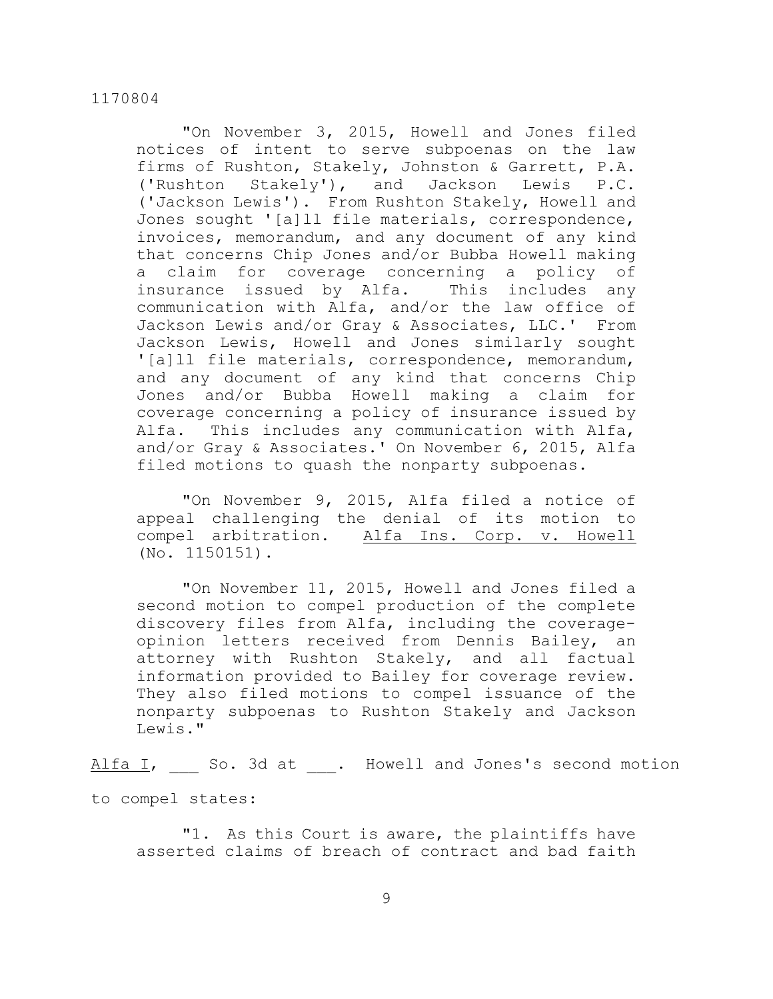"On November 3, 2015, Howell and Jones filed notices of intent to serve subpoenas on the law firms of Rushton, Stakely, Johnston & Garrett, P.A. ('Rushton Stakely'), and Jackson Lewis P.C. ('Jackson Lewis'). From Rushton Stakely, Howell and Jones sought '[a]ll file materials, correspondence, invoices, memorandum, and any document of any kind that concerns Chip Jones and/or Bubba Howell making a claim for coverage concerning a policy of insurance issued by Alfa. This includes any communication with Alfa, and/or the law office of Jackson Lewis and/or Gray & Associates, LLC.' From Jackson Lewis, Howell and Jones similarly sought '[a]ll file materials, correspondence, memorandum, and any document of any kind that concerns Chip Jones and/or Bubba Howell making a claim for coverage concerning a policy of insurance issued by Alfa. This includes any communication with Alfa, and/or Gray & Associates.' On November 6, 2015, Alfa filed motions to quash the nonparty subpoenas.

"On November 9, 2015, Alfa filed a notice of appeal challenging the denial of its motion to compel arbitration. Alfa Ins. Corp. v. Howell (No. 1150151).

"On November 11, 2015, Howell and Jones filed a second motion to compel production of the complete discovery files from Alfa, including the coverageopinion letters received from Dennis Bailey, an attorney with Rushton Stakely, and all factual information provided to Bailey for coverage review. They also filed motions to compel issuance of the nonparty subpoenas to Rushton Stakely and Jackson Lewis."

Alfa I, So. 3d at . Howell and Jones's second motion

to compel states:

"1. As this Court is aware, the plaintiffs have asserted claims of breach of contract and bad faith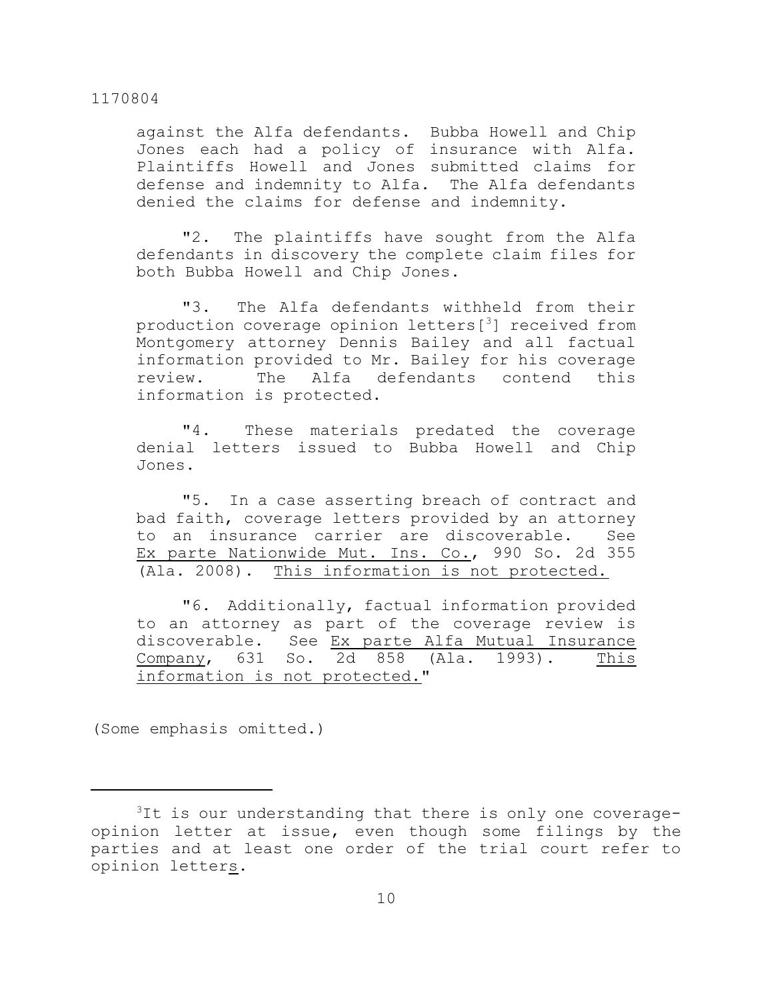against the Alfa defendants. Bubba Howell and Chip Jones each had a policy of insurance with Alfa. Plaintiffs Howell and Jones submitted claims for defense and indemnity to Alfa. The Alfa defendants denied the claims for defense and indemnity.

"2. The plaintiffs have sought from the Alfa defendants in discovery the complete claim files for both Bubba Howell and Chip Jones.

"3. The Alfa defendants withheld from their production coverage opinion letters $[3]$  received from Montgomery attorney Dennis Bailey and all factual information provided to Mr. Bailey for his coverage review. The Alfa defendants contend this information is protected.

"4. These materials predated the coverage denial letters issued to Bubba Howell and Chip Jones.

"5. In a case asserting breach of contract and bad faith, coverage letters provided by an attorney to an insurance carrier are discoverable. See Ex parte Nationwide Mut. Ins. Co., 990 So. 2d 355 (Ala. 2008). This information is not protected.

"6. Additionally, factual information provided to an attorney as part of the coverage review is discoverable. See Ex parte Alfa Mutual Insurance Company, 631 So. 2d 858 (Ala. 1993). This information is not protected."

(Some emphasis omitted.)

<sup>&</sup>lt;sup>3</sup>It is our understanding that there is only one coverageopinion letter at issue, even though some filings by the parties and at least one order of the trial court refer to opinion letters.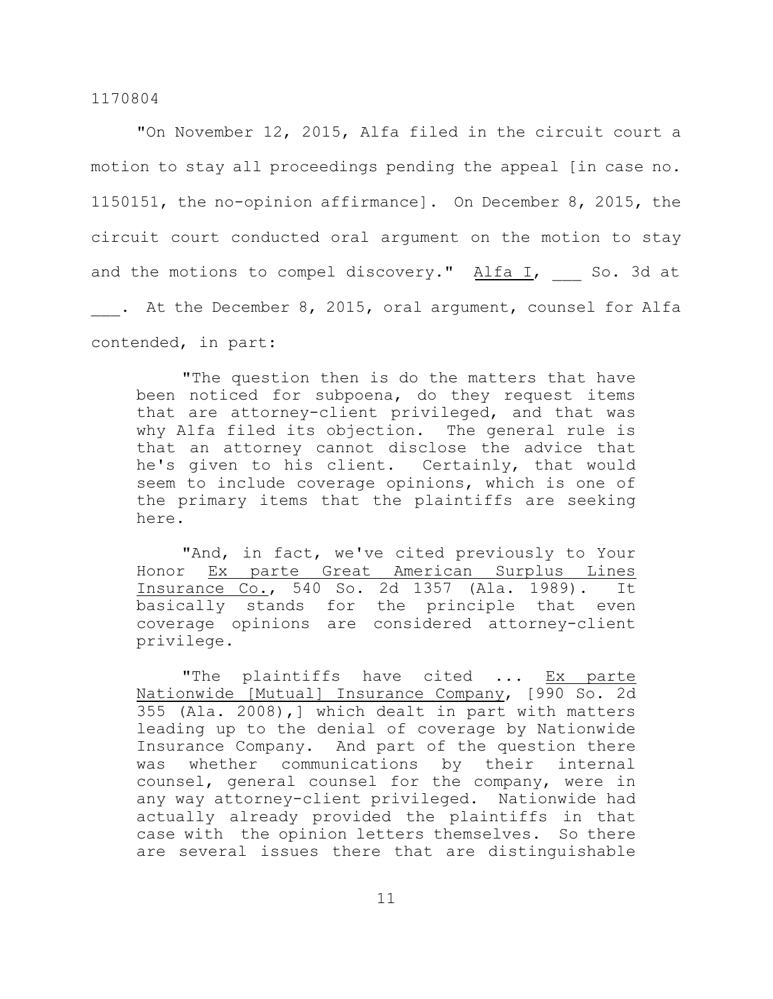"On November 12, 2015, Alfa filed in the circuit court a motion to stay all proceedings pending the appeal [in case no. 1150151, the no-opinion affirmance]. On December 8, 2015, the circuit court conducted oral argument on the motion to stay and the motions to compel discovery." Alfa I, So. 3d at . At the December 8, 2015, oral argument, counsel for Alfa contended, in part:

"The question then is do the matters that have been noticed for subpoena, do they request items that are attorney-client privileged, and that was why Alfa filed its objection. The general rule is that an attorney cannot disclose the advice that he's given to his client. Certainly, that would seem to include coverage opinions, which is one of the primary items that the plaintiffs are seeking here.

"And, in fact, we've cited previously to Your Honor Ex parte Great American Surplus Lines Insurance Co., 540 So. 2d 1357 (Ala. 1989). It basically stands for the principle that even coverage opinions are considered attorney-client privilege.

"The plaintiffs have cited ... Ex parte Nationwide [Mutual] Insurance Company, [990 So. 2d 355 (Ala. 2008),] which dealt in part with matters leading up to the denial of coverage by Nationwide Insurance Company. And part of the question there was whether communications by their internal counsel, general counsel for the company, were in any way attorney-client privileged. Nationwide had actually already provided the plaintiffs in that case with the opinion letters themselves. So there are several issues there that are distinguishable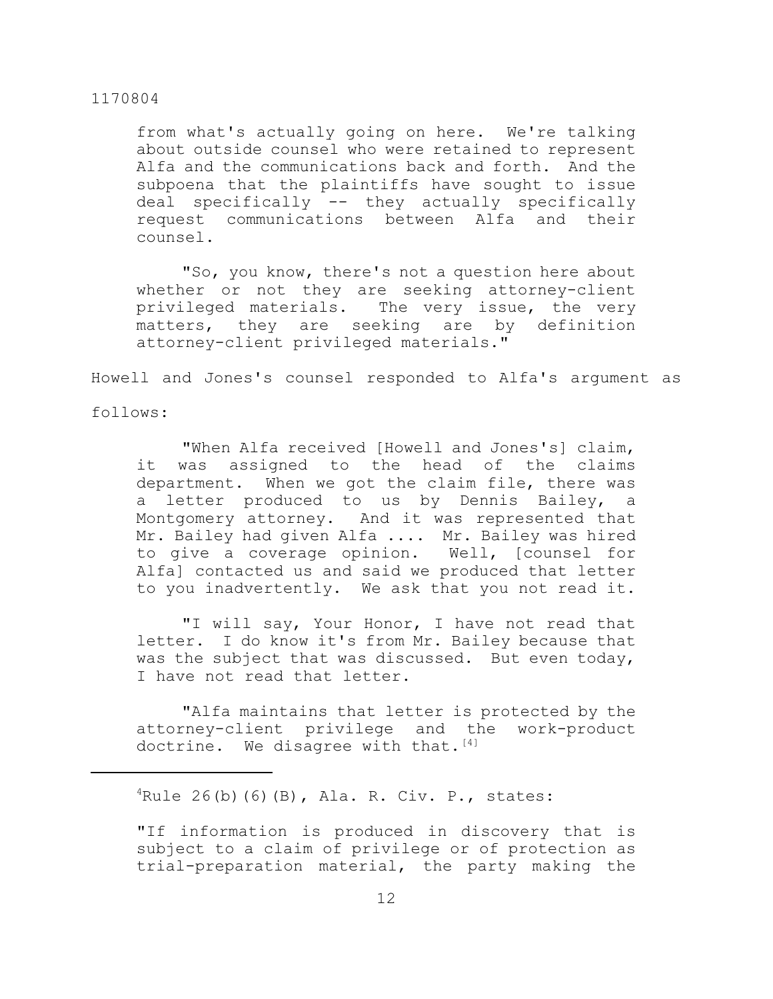from what's actually going on here. We're talking about outside counsel who were retained to represent Alfa and the communications back and forth. And the subpoena that the plaintiffs have sought to issue deal specifically -- they actually specifically request communications between Alfa and their counsel.

"So, you know, there's not a question here about whether or not they are seeking attorney-client privileged materials. The very issue, the very matters, they are seeking are by definition attorney-client privileged materials."

Howell and Jones's counsel responded to Alfa's argument as

follows:

"When Alfa received [Howell and Jones's] claim, it was assigned to the head of the claims department. When we got the claim file, there was a letter produced to us by Dennis Bailey, a Montgomery attorney. And it was represented that Mr. Bailey had given Alfa .... Mr. Bailey was hired to give a coverage opinion. Well, [counsel for Alfa] contacted us and said we produced that letter to you inadvertently. We ask that you not read it.

"I will say, Your Honor, I have not read that letter. I do know it's from Mr. Bailey because that was the subject that was discussed. But even today, I have not read that letter.

"Alfa maintains that letter is protected by the attorney-client privilege and the work-product doctrine. We disagree with that.  $[4]$ 

 ${}^{4}$ Rule 26(b)(6)(B), Ala. R. Civ. P., states:

"If information is produced in discovery that is subject to a claim of privilege or of protection as trial-preparation material, the party making the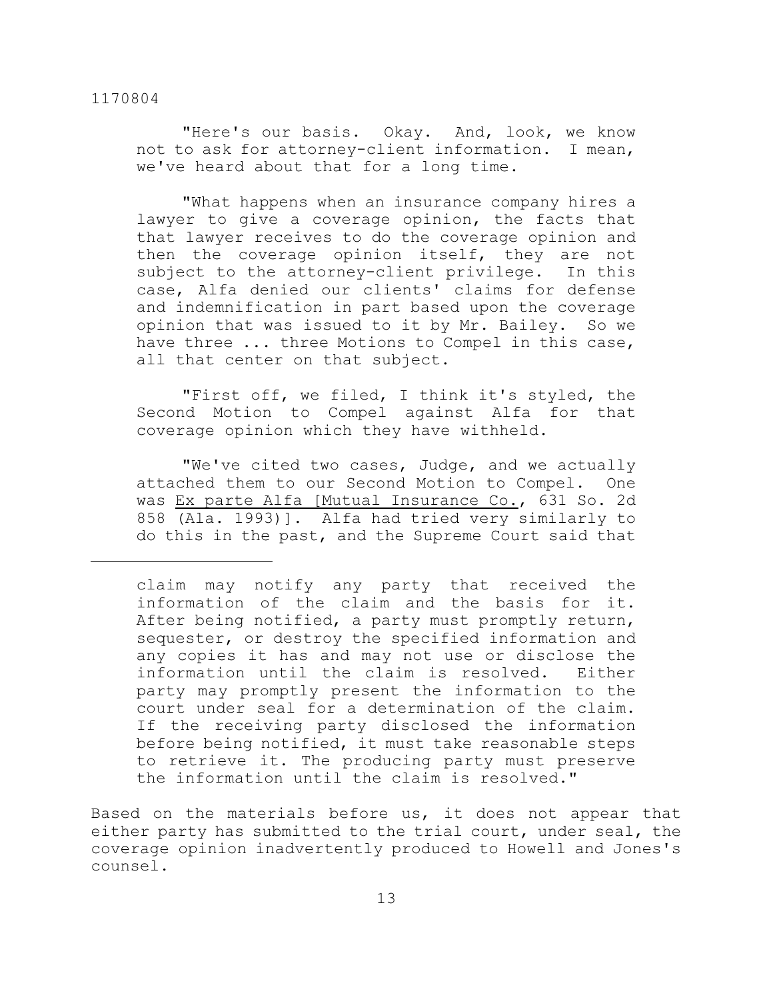"Here's our basis. Okay. And, look, we know not to ask for attorney-client information. I mean, we've heard about that for a long time.

"What happens when an insurance company hires a lawyer to give a coverage opinion, the facts that that lawyer receives to do the coverage opinion and then the coverage opinion itself, they are not subject to the attorney-client privilege. In this case, Alfa denied our clients' claims for defense and indemnification in part based upon the coverage opinion that was issued to it by Mr. Bailey. So we have three ... three Motions to Compel in this case, all that center on that subject.

"First off, we filed, I think it's styled, the Second Motion to Compel against Alfa for that coverage opinion which they have withheld.

"We've cited two cases, Judge, and we actually attached them to our Second Motion to Compel. One was Ex parte Alfa [Mutual Insurance Co., 631 So. 2d 858 (Ala. 1993)]. Alfa had tried very similarly to do this in the past, and the Supreme Court said that

Based on the materials before us, it does not appear that either party has submitted to the trial court, under seal, the coverage opinion inadvertently produced to Howell and Jones's counsel.

claim may notify any party that received the information of the claim and the basis for it. After being notified, a party must promptly return, sequester, or destroy the specified information and any copies it has and may not use or disclose the information until the claim is resolved. Either party may promptly present the information to the court under seal for a determination of the claim. If the receiving party disclosed the information before being notified, it must take reasonable steps to retrieve it. The producing party must preserve the information until the claim is resolved."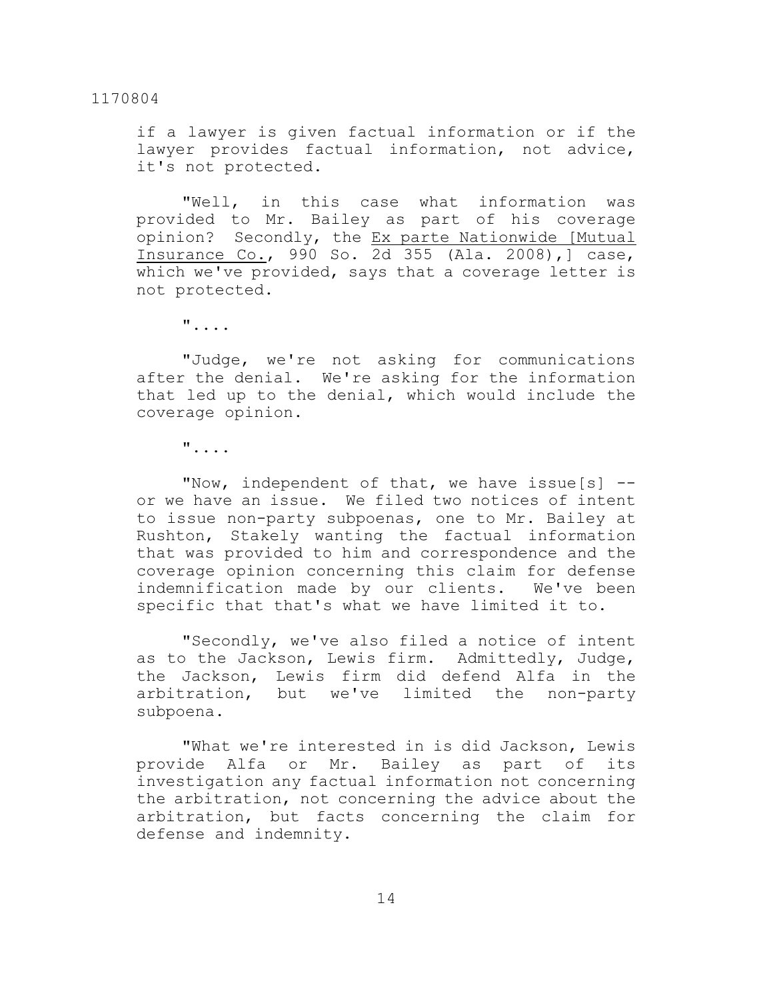if a lawyer is given factual information or if the lawyer provides factual information, not advice, it's not protected.

"Well, in this case what information was provided to Mr. Bailey as part of his coverage opinion? Secondly, the Ex parte Nationwide [Mutual Insurance Co., 990 So. 2d 355 (Ala. 2008),] case, which we've provided, says that a coverage letter is not protected.

"....

"Judge, we're not asking for communications after the denial. We're asking for the information that led up to the denial, which would include the coverage opinion.

"....

"Now, independent of that, we have issue[s] - or we have an issue. We filed two notices of intent to issue non-party subpoenas, one to Mr. Bailey at Rushton, Stakely wanting the factual information that was provided to him and correspondence and the coverage opinion concerning this claim for defense indemnification made by our clients. We've been specific that that's what we have limited it to.

"Secondly, we've also filed a notice of intent as to the Jackson, Lewis firm. Admittedly, Judge, the Jackson, Lewis firm did defend Alfa in the arbitration, but we've limited the non-party subpoena.

"What we're interested in is did Jackson, Lewis provide Alfa or Mr. Bailey as part of its investigation any factual information not concerning the arbitration, not concerning the advice about the arbitration, but facts concerning the claim for defense and indemnity.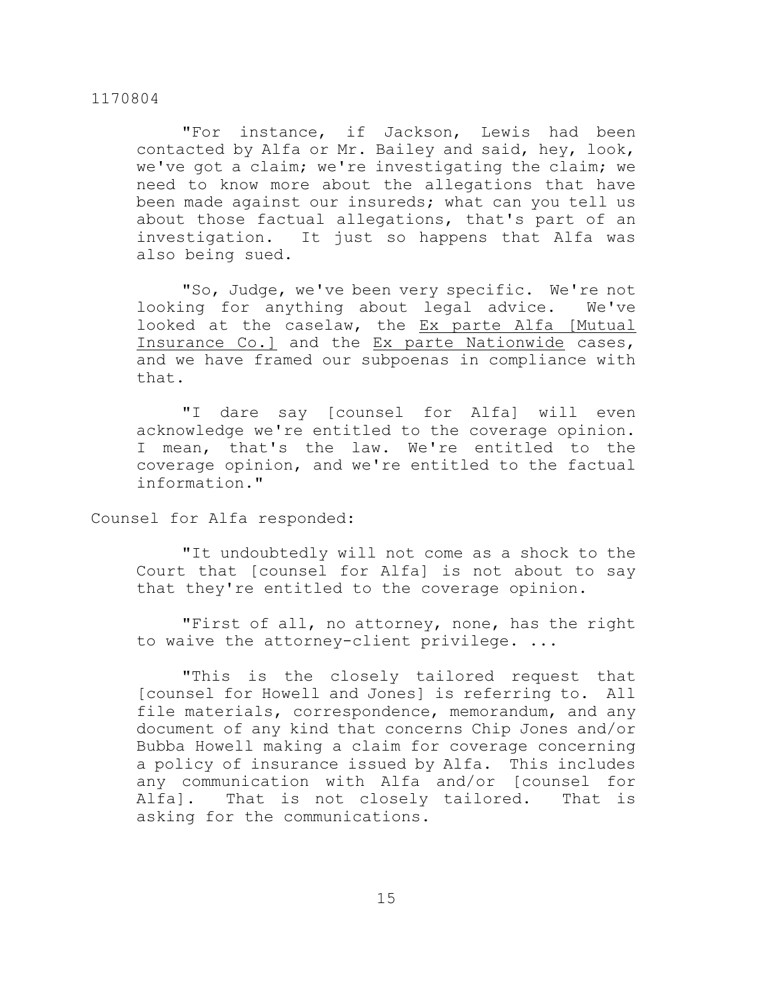"For instance, if Jackson, Lewis had been contacted by Alfa or Mr. Bailey and said, hey, look, we've got a claim; we're investigating the claim; we need to know more about the allegations that have been made against our insureds; what can you tell us about those factual allegations, that's part of an investigation. It just so happens that Alfa was also being sued.

"So, Judge, we've been very specific. We're not looking for anything about legal advice. We've looked at the caselaw, the Ex parte Alfa [Mutual Insurance Co.] and the Ex parte Nationwide cases, and we have framed our subpoenas in compliance with that.

"I dare say [counsel for Alfa] will even acknowledge we're entitled to the coverage opinion. I mean, that's the law. We're entitled to the coverage opinion, and we're entitled to the factual information."

Counsel for Alfa responded:

"It undoubtedly will not come as a shock to the Court that [counsel for Alfa] is not about to say that they're entitled to the coverage opinion.

"First of all, no attorney, none, has the right to waive the attorney-client privilege. ...

"This is the closely tailored request that [counsel for Howell and Jones] is referring to. All file materials, correspondence, memorandum, and any document of any kind that concerns Chip Jones and/or Bubba Howell making a claim for coverage concerning a policy of insurance issued by Alfa. This includes any communication with Alfa and/or [counsel for Alfa]. That is not closely tailored. That is asking for the communications.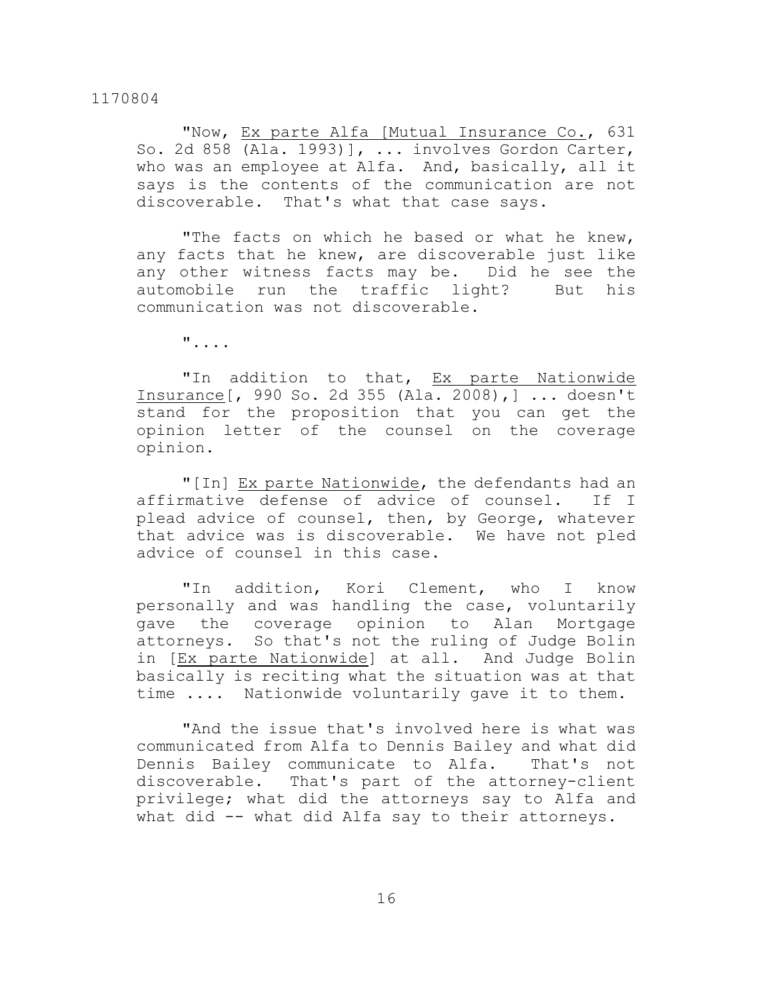"Now, Ex parte Alfa [Mutual Insurance Co., 631 So. 2d 858 (Ala. 1993)], ... involves Gordon Carter, who was an employee at Alfa. And, basically, all it says is the contents of the communication are not discoverable. That's what that case says.

"The facts on which he based or what he knew, any facts that he knew, are discoverable just like any other witness facts may be. Did he see the automobile run the traffic light? But his communication was not discoverable.

"....

"In addition to that, Ex parte Nationwide Insurance[, 990 So. 2d 355 (Ala. 2008),] ... doesn't stand for the proposition that you can get the opinion letter of the counsel on the coverage opinion.

"[In] Ex parte Nationwide, the defendants had an affirmative defense of advice of counsel. If I plead advice of counsel, then, by George, whatever that advice was is discoverable. We have not pled advice of counsel in this case.

"In addition, Kori Clement, who I know personally and was handling the case, voluntarily gave the coverage opinion to Alan Mortgage attorneys. So that's not the ruling of Judge Bolin in [Ex parte Nationwide] at all. And Judge Bolin basically is reciting what the situation was at that time .... Nationwide voluntarily gave it to them.

"And the issue that's involved here is what was communicated from Alfa to Dennis Bailey and what did Dennis Bailey communicate to Alfa. That's not discoverable. That's part of the attorney-client privilege; what did the attorneys say to Alfa and what did -- what did Alfa say to their attorneys.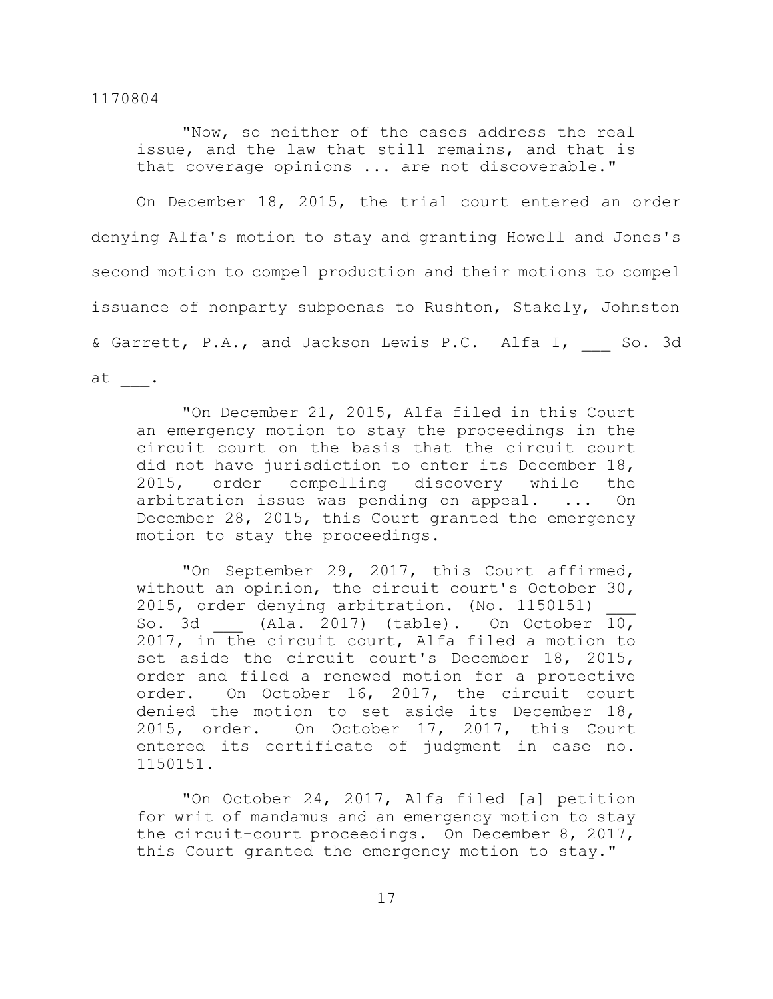"Now, so neither of the cases address the real issue, and the law that still remains, and that is that coverage opinions ... are not discoverable."

On December 18, 2015, the trial court entered an order denying Alfa's motion to stay and granting Howell and Jones's second motion to compel production and their motions to compel issuance of nonparty subpoenas to Rushton, Stakely, Johnston & Garrett, P.A., and Jackson Lewis P.C. Alfa I, So. 3d at \_\_\_.

"On December 21, 2015, Alfa filed in this Court an emergency motion to stay the proceedings in the circuit court on the basis that the circuit court did not have jurisdiction to enter its December 18, 2015, order compelling discovery while the arbitration issue was pending on appeal. ... On December 28, 2015, this Court granted the emergency motion to stay the proceedings.

"On September 29, 2017, this Court affirmed, without an opinion, the circuit court's October 30, 2015, order denying arbitration. (No. 1150151) So. 3d (Ala. 2017) (table). On October 10, 2017, in the circuit court, Alfa filed a motion to set aside the circuit court's December 18, 2015, order and filed a renewed motion for a protective order. On October 16, 2017, the circuit court denied the motion to set aside its December 18, 2015, order. On October 17, 2017, this Court entered its certificate of judgment in case no. 1150151.

"On October 24, 2017, Alfa filed [a] petition for writ of mandamus and an emergency motion to stay the circuit-court proceedings. On December 8, 2017, this Court granted the emergency motion to stay."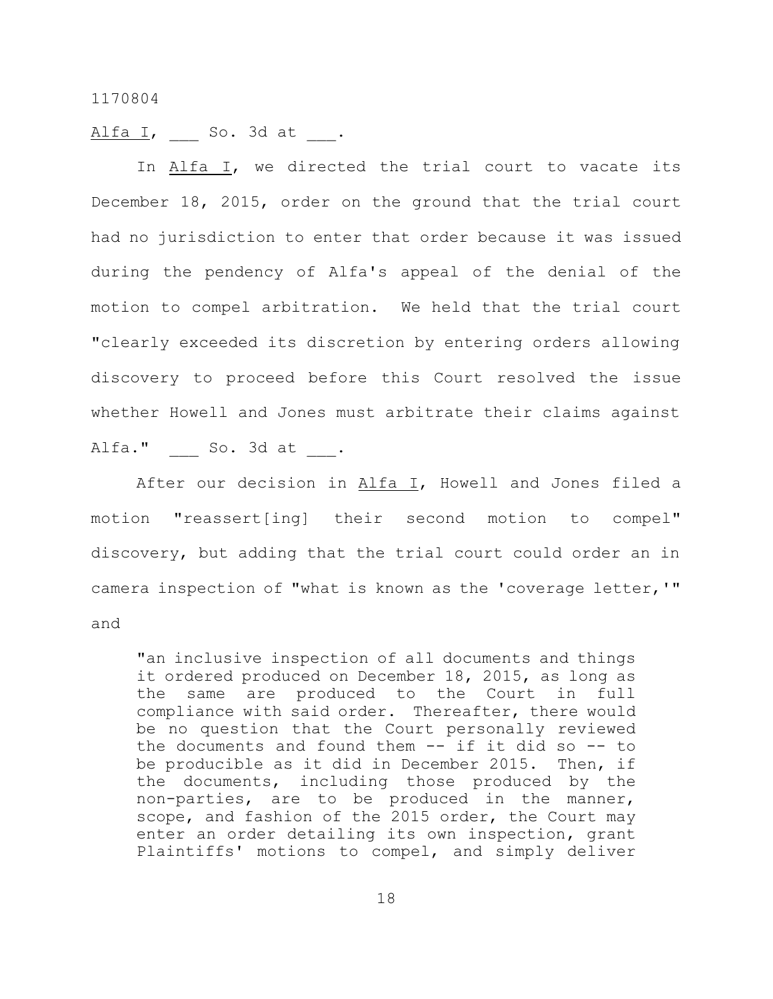Alfa I, So. 3d at .

In Alfa I, we directed the trial court to vacate its December 18, 2015, order on the ground that the trial court had no jurisdiction to enter that order because it was issued during the pendency of Alfa's appeal of the denial of the motion to compel arbitration. We held that the trial court "clearly exceeded its discretion by entering orders allowing discovery to proceed before this Court resolved the issue whether Howell and Jones must arbitrate their claims against Alfa." So. 3d at .

After our decision in Alfa I, Howell and Jones filed a motion "reassert[ing] their second motion to compel" discovery, but adding that the trial court could order an in camera inspection of "what is known as the 'coverage letter,'" and

"an inclusive inspection of all documents and things it ordered produced on December 18, 2015, as long as the same are produced to the Court in full compliance with said order. Thereafter, there would be no question that the Court personally reviewed the documents and found them -- if it did so -- to be producible as it did in December 2015. Then, if the documents, including those produced by the non-parties, are to be produced in the manner, scope, and fashion of the 2015 order, the Court may enter an order detailing its own inspection, grant Plaintiffs' motions to compel, and simply deliver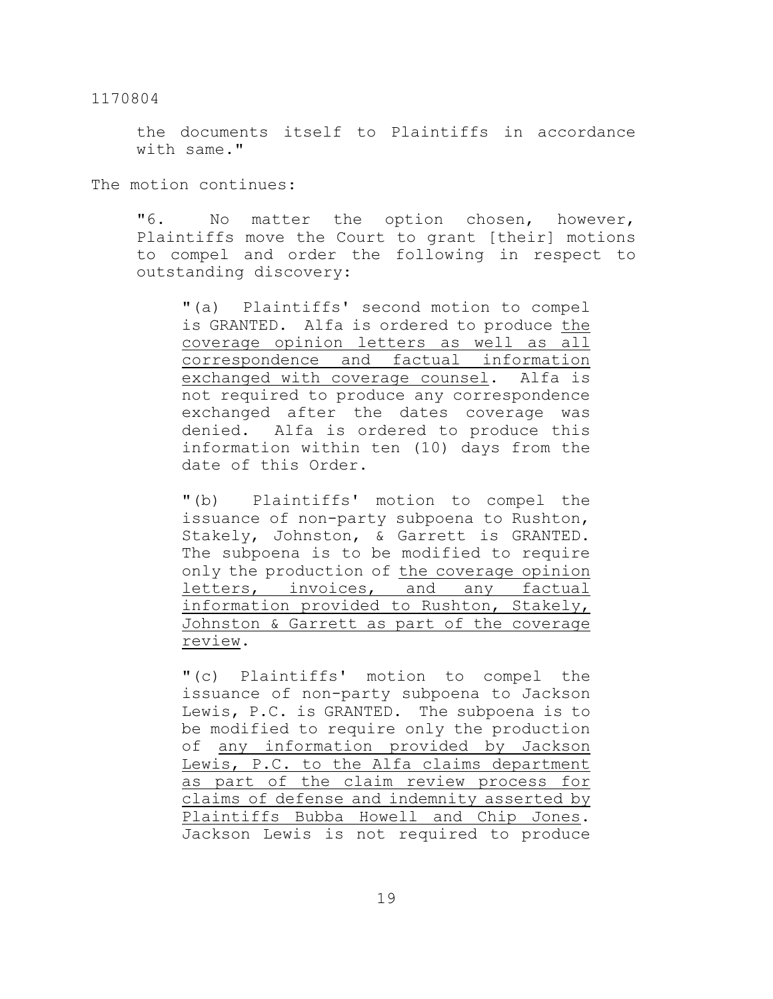the documents itself to Plaintiffs in accordance with same."

The motion continues:

"6. No matter the option chosen, however, Plaintiffs move the Court to grant [their] motions to compel and order the following in respect to outstanding discovery:

"(a) Plaintiffs' second motion to compel is GRANTED. Alfa is ordered to produce the coverage opinion letters as well as all correspondence and factual information exchanged with coverage counsel. Alfa is not required to produce any correspondence exchanged after the dates coverage was denied. Alfa is ordered to produce this information within ten (10) days from the date of this Order.

"(b) Plaintiffs' motion to compel the issuance of non-party subpoena to Rushton, Stakely, Johnston, & Garrett is GRANTED. The subpoena is to be modified to require only the production of the coverage opinion letters, invoices, and any factual information provided to Rushton, Stakely, Johnston & Garrett as part of the coverage review.

"(c) Plaintiffs' motion to compel the issuance of non-party subpoena to Jackson Lewis, P.C. is GRANTED. The subpoena is to be modified to require only the production of any information provided by Jackson Lewis, P.C. to the Alfa claims department as part of the claim review process for claims of defense and indemnity asserted by Plaintiffs Bubba Howell and Chip Jones. Jackson Lewis is not required to produce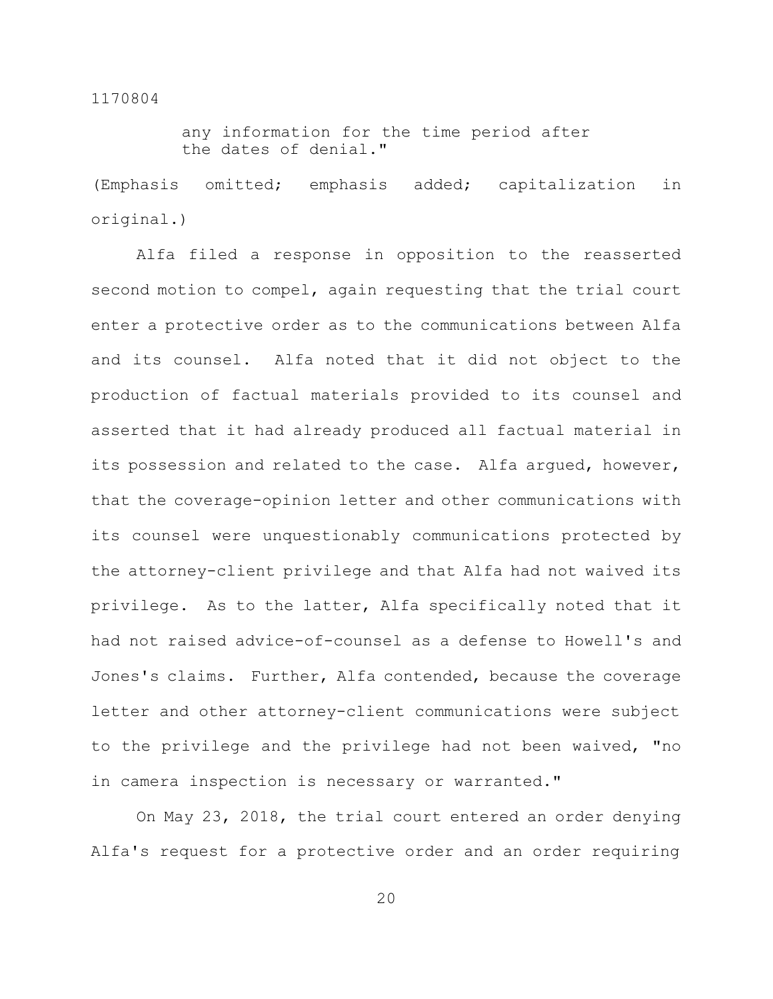any information for the time period after the dates of denial."

(Emphasis omitted; emphasis added; capitalization in original.)

Alfa filed a response in opposition to the reasserted second motion to compel, again requesting that the trial court enter a protective order as to the communications between Alfa and its counsel. Alfa noted that it did not object to the production of factual materials provided to its counsel and asserted that it had already produced all factual material in its possession and related to the case. Alfa argued, however, that the coverage-opinion letter and other communications with its counsel were unquestionably communications protected by the attorney-client privilege and that Alfa had not waived its privilege. As to the latter, Alfa specifically noted that it had not raised advice-of-counsel as a defense to Howell's and Jones's claims. Further, Alfa contended, because the coverage letter and other attorney-client communications were subject to the privilege and the privilege had not been waived, "no in camera inspection is necessary or warranted."

On May 23, 2018, the trial court entered an order denying Alfa's request for a protective order and an order requiring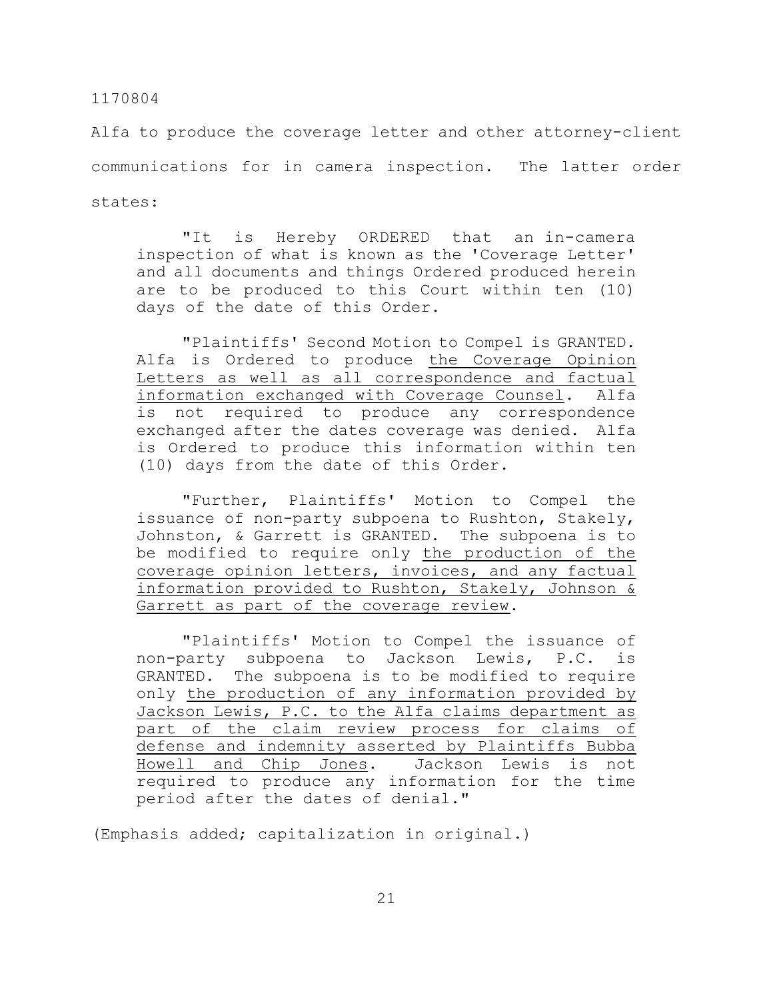Alfa to produce the coverage letter and other attorney-client communications for in camera inspection. The latter order states:

"It is Hereby ORDERED that an in-camera inspection of what is known as the 'Coverage Letter' and all documents and things Ordered produced herein are to be produced to this Court within ten (10) days of the date of this Order.

"Plaintiffs' Second Motion to Compel is GRANTED. Alfa is Ordered to produce the Coverage Opinion Letters as well as all correspondence and factual information exchanged with Coverage Counsel. Alfa is not required to produce any correspondence exchanged after the dates coverage was denied. Alfa is Ordered to produce this information within ten (10) days from the date of this Order.

"Further, Plaintiffs' Motion to Compel the issuance of non-party subpoena to Rushton, Stakely, Johnston, & Garrett is GRANTED. The subpoena is to be modified to require only the production of the coverage opinion letters, invoices, and any factual information provided to Rushton, Stakely, Johnson & Garrett as part of the coverage review.

"Plaintiffs' Motion to Compel the issuance of non-party subpoena to Jackson Lewis, P.C. is GRANTED. The subpoena is to be modified to require only the production of any information provided by Jackson Lewis, P.C. to the Alfa claims department as part of the claim review process for claims of defense and indemnity asserted by Plaintiffs Bubba Howell and Chip Jones. Jackson Lewis is not required to produce any information for the time period after the dates of denial."

(Emphasis added; capitalization in original.)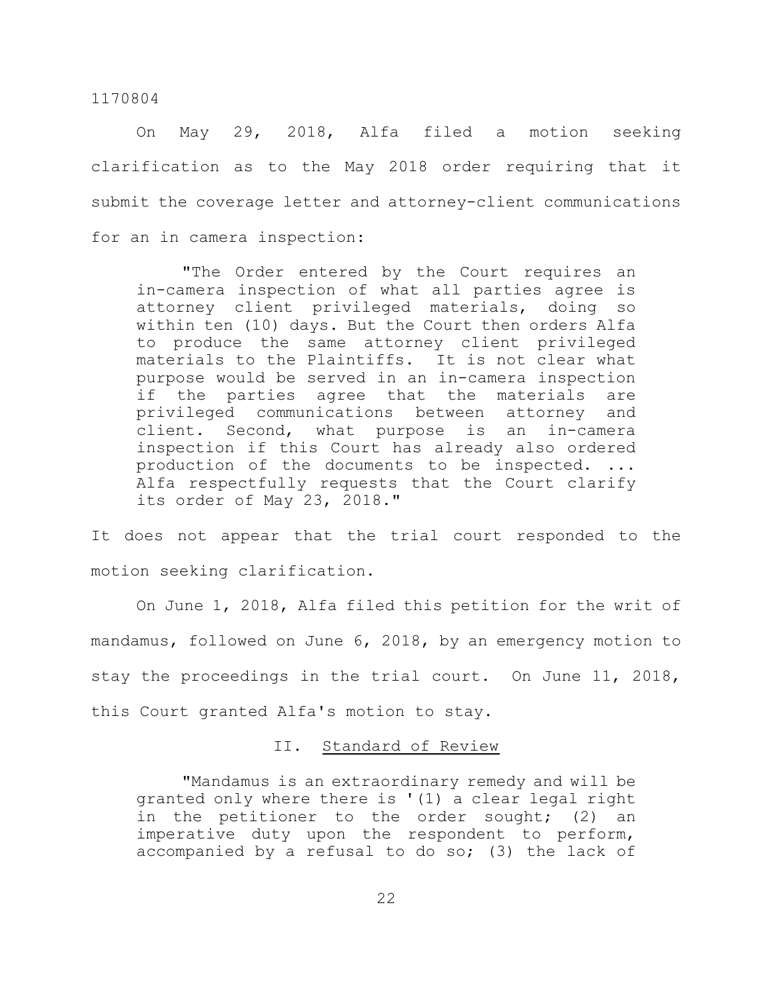On May 29, 2018, Alfa filed a motion seeking clarification as to the May 2018 order requiring that it submit the coverage letter and attorney-client communications for an in camera inspection:

"The Order entered by the Court requires an in-camera inspection of what all parties agree is attorney client privileged materials, doing so within ten (10) days. But the Court then orders Alfa to produce the same attorney client privileged materials to the Plaintiffs. It is not clear what purpose would be served in an in-camera inspection if the parties agree that the materials are privileged communications between attorney and client. Second, what purpose is an in-camera inspection if this Court has already also ordered production of the documents to be inspected. ... Alfa respectfully requests that the Court clarify its order of May 23, 2018."

It does not appear that the trial court responded to the motion seeking clarification.

On June 1, 2018, Alfa filed this petition for the writ of mandamus, followed on June 6, 2018, by an emergency motion to stay the proceedings in the trial court. On June 11, 2018, this Court granted Alfa's motion to stay.

#### II. Standard of Review

"Mandamus is an extraordinary remedy and will be granted only where there is '(1) a clear legal right in the petitioner to the order sought; (2) an imperative duty upon the respondent to perform, accompanied by a refusal to do so; (3) the lack of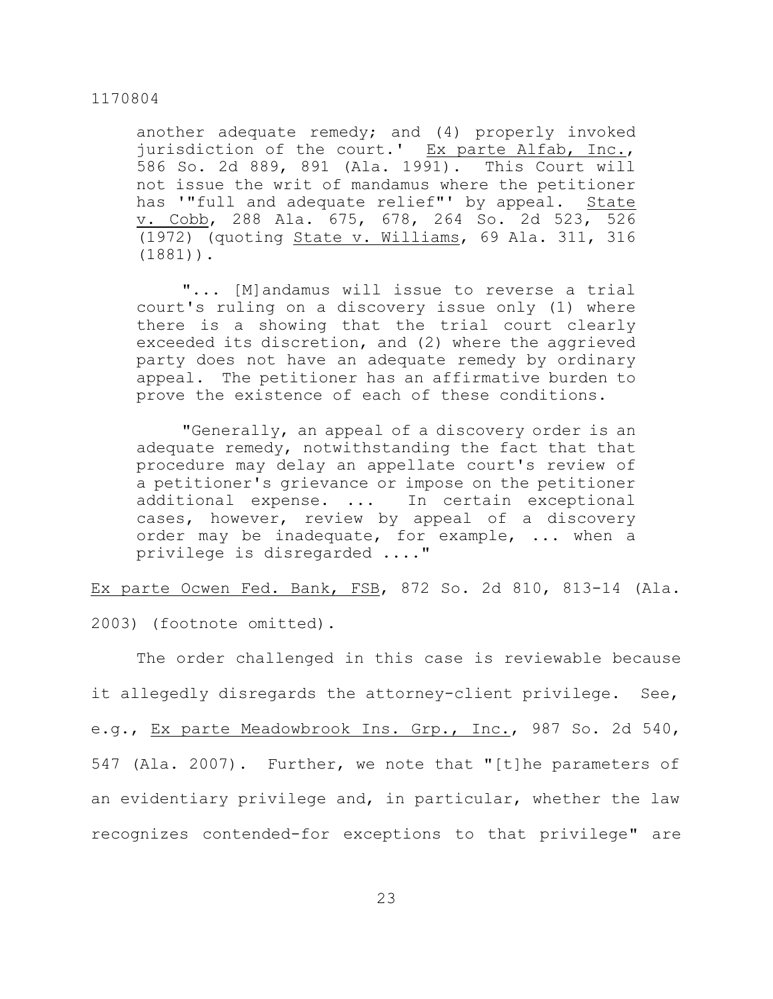another adequate remedy; and (4) properly invoked iurisdiction of the court.' Ex parte Alfab, Inc., 586 So. 2d 889, 891 (Ala. 1991). This Court will not issue the writ of mandamus where the petitioner has '"full and adequate relief"' by appeal. State v. Cobb, 288 Ala. 675, 678, 264 So. 2d 523, 526 (1972) (quoting State v. Williams, 69 Ala. 311, 316 (1881)).

"... [M]andamus will issue to reverse a trial court's ruling on a discovery issue only (1) where there is a showing that the trial court clearly exceeded its discretion, and (2) where the aggrieved party does not have an adequate remedy by ordinary appeal. The petitioner has an affirmative burden to prove the existence of each of these conditions.

"Generally, an appeal of a discovery order is an adequate remedy, notwithstanding the fact that that procedure may delay an appellate court's review of a petitioner's grievance or impose on the petitioner additional expense. ... In certain exceptional cases, however, review by appeal of a discovery order may be inadequate, for example, ... when a privilege is disregarded ...."

Ex parte Ocwen Fed. Bank, FSB, 872 So. 2d 810, 813-14 (Ala.

2003) (footnote omitted).

The order challenged in this case is reviewable because it allegedly disregards the attorney-client privilege. See, e.g., Ex parte Meadowbrook Ins. Grp., Inc., 987 So. 2d 540, 547 (Ala. 2007). Further, we note that "[t]he parameters of an evidentiary privilege and, in particular, whether the law recognizes contended-for exceptions to that privilege" are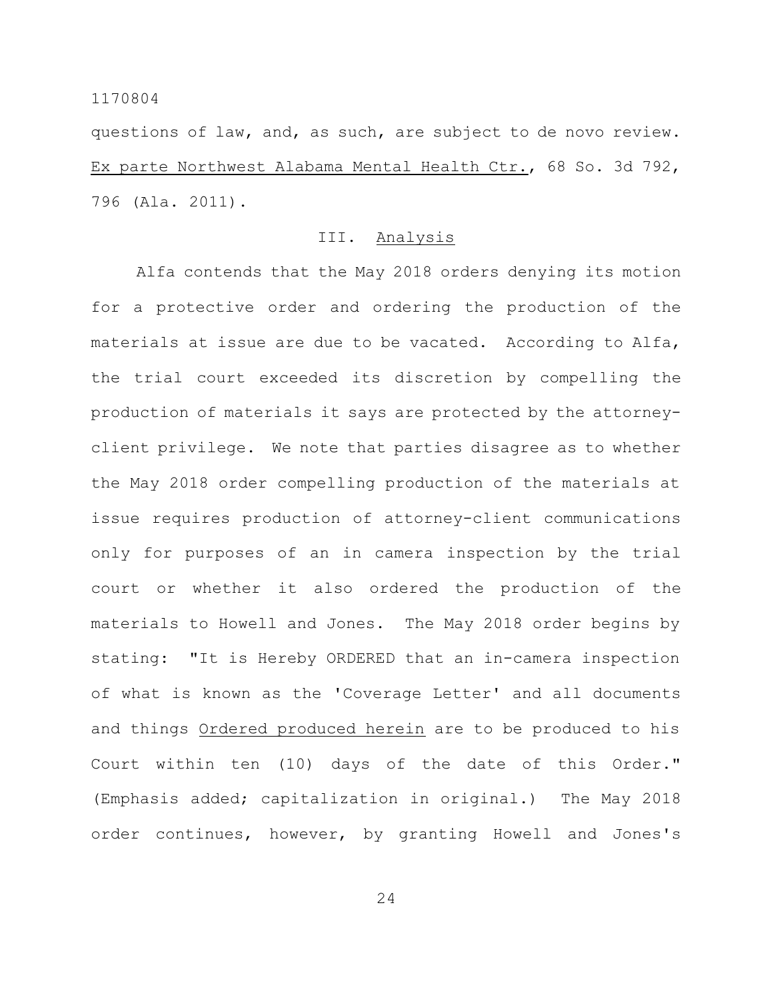questions of law, and, as such, are subject to de novo review. Ex parte Northwest Alabama Mental Health Ctr., 68 So. 3d 792, 796 (Ala. 2011).

## III. Analysis

Alfa contends that the May 2018 orders denying its motion for a protective order and ordering the production of the materials at issue are due to be vacated. According to Alfa, the trial court exceeded its discretion by compelling the production of materials it says are protected by the attorneyclient privilege. We note that parties disagree as to whether the May 2018 order compelling production of the materials at issue requires production of attorney-client communications only for purposes of an in camera inspection by the trial court or whether it also ordered the production of the materials to Howell and Jones. The May 2018 order begins by stating: "It is Hereby ORDERED that an in-camera inspection of what is known as the 'Coverage Letter' and all documents and things Ordered produced herein are to be produced to his Court within ten (10) days of the date of this Order." (Emphasis added; capitalization in original.) The May 2018 order continues, however, by granting Howell and Jones's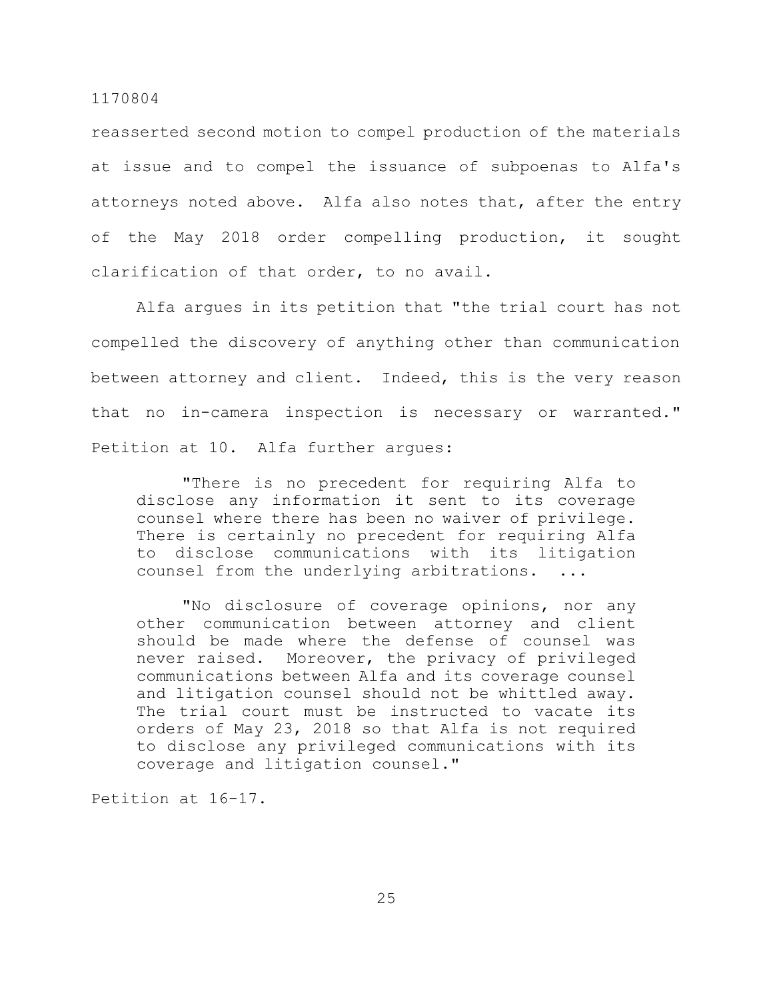reasserted second motion to compel production of the materials at issue and to compel the issuance of subpoenas to Alfa's attorneys noted above. Alfa also notes that, after the entry of the May 2018 order compelling production, it sought clarification of that order, to no avail.

Alfa argues in its petition that "the trial court has not compelled the discovery of anything other than communication between attorney and client. Indeed, this is the very reason that no in-camera inspection is necessary or warranted." Petition at 10. Alfa further argues:

"There is no precedent for requiring Alfa to disclose any information it sent to its coverage counsel where there has been no waiver of privilege. There is certainly no precedent for requiring Alfa to disclose communications with its litigation counsel from the underlying arbitrations. ...

"No disclosure of coverage opinions, nor any other communication between attorney and client should be made where the defense of counsel was never raised. Moreover, the privacy of privileged communications between Alfa and its coverage counsel and litigation counsel should not be whittled away. The trial court must be instructed to vacate its orders of May 23, 2018 so that Alfa is not required to disclose any privileged communications with its coverage and litigation counsel."

Petition at 16-17.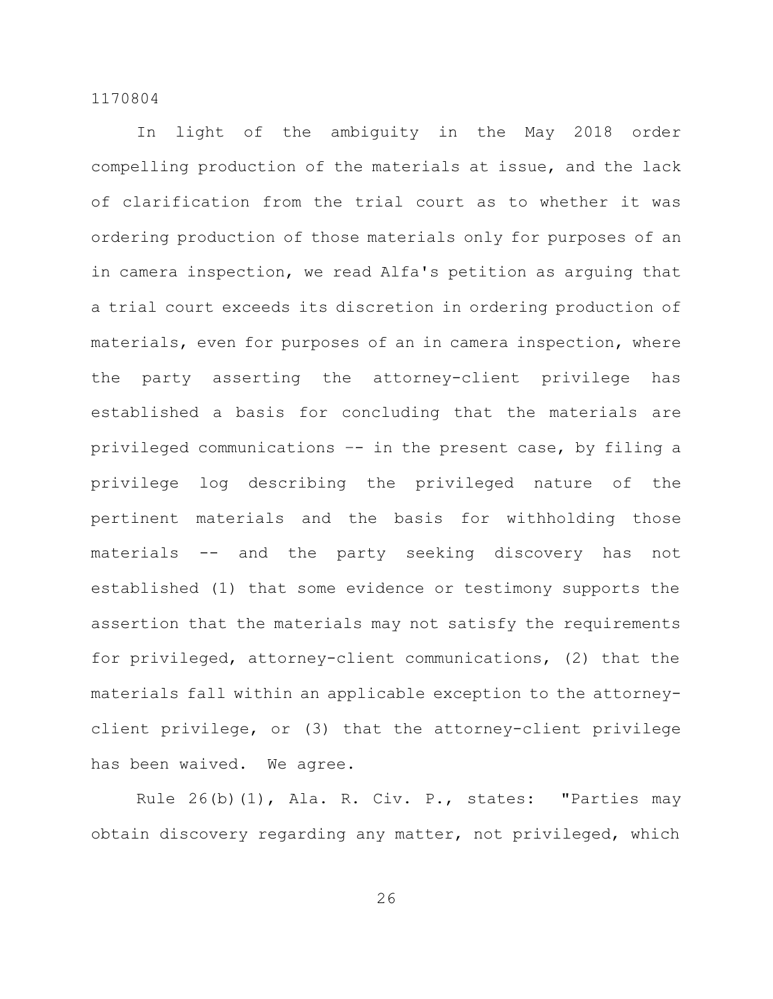In light of the ambiguity in the May 2018 order compelling production of the materials at issue, and the lack of clarification from the trial court as to whether it was ordering production of those materials only for purposes of an in camera inspection, we read Alfa's petition as arguing that a trial court exceeds its discretion in ordering production of materials, even for purposes of an in camera inspection, where the party asserting the attorney-client privilege has established a basis for concluding that the materials are privileged communications –- in the present case, by filing a privilege log describing the privileged nature of the pertinent materials and the basis for withholding those materials -- and the party seeking discovery has not established (1) that some evidence or testimony supports the assertion that the materials may not satisfy the requirements for privileged, attorney-client communications, (2) that the materials fall within an applicable exception to the attorneyclient privilege, or (3) that the attorney-client privilege has been waived. We agree.

Rule 26(b)(1), Ala. R. Civ. P., states: "Parties may obtain discovery regarding any matter, not privileged, which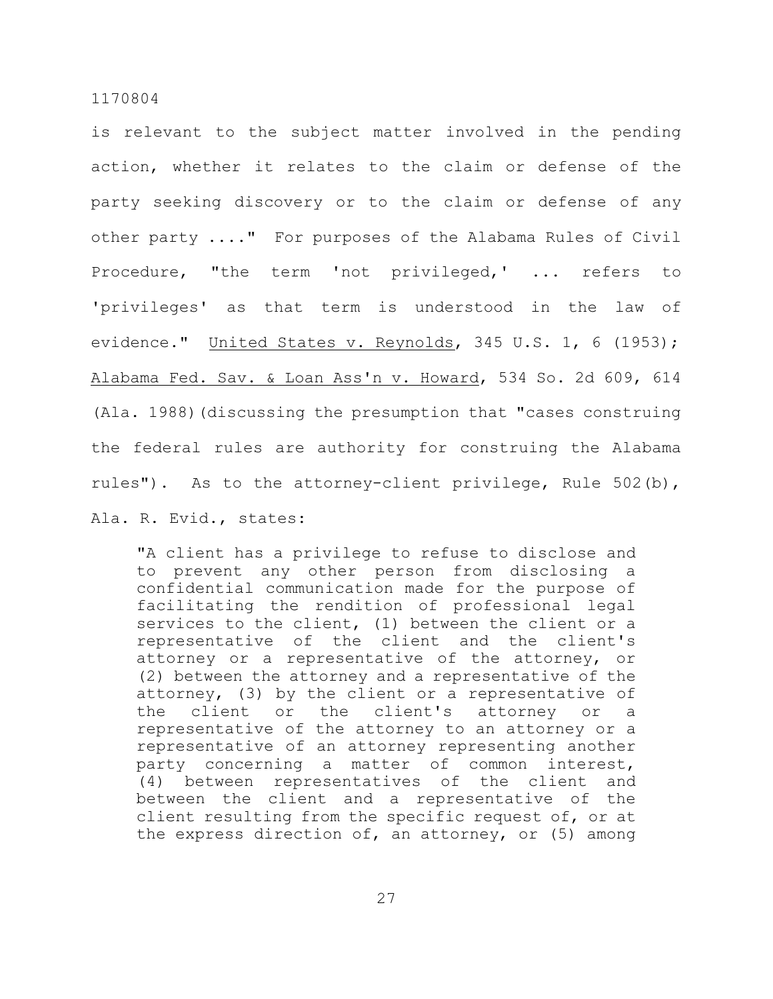is relevant to the subject matter involved in the pending action, whether it relates to the claim or defense of the party seeking discovery or to the claim or defense of any other party ...." For purposes of the Alabama Rules of Civil Procedure, "the term 'not privileged,' ... refers to 'privileges' as that term is understood in the law of evidence." United States v. Reynolds, 345 U.S. 1, 6 (1953); Alabama Fed. Sav. & Loan Ass'n v. Howard, 534 So. 2d 609, 614 (Ala. 1988)(discussing the presumption that "cases construing the federal rules are authority for construing the Alabama rules"). As to the attorney-client privilege, Rule 502(b),

Ala. R. Evid., states:

"A client has a privilege to refuse to disclose and to prevent any other person from disclosing a confidential communication made for the purpose of facilitating the rendition of professional legal services to the client, (1) between the client or a representative of the client and the client's attorney or a representative of the attorney, or (2) between the attorney and a representative of the attorney, (3) by the client or a representative of the client or the client's attorney or a representative of the attorney to an attorney or a representative of an attorney representing another party concerning a matter of common interest, (4) between representatives of the client and between the client and a representative of the client resulting from the specific request of, or at the express direction of, an attorney, or (5) among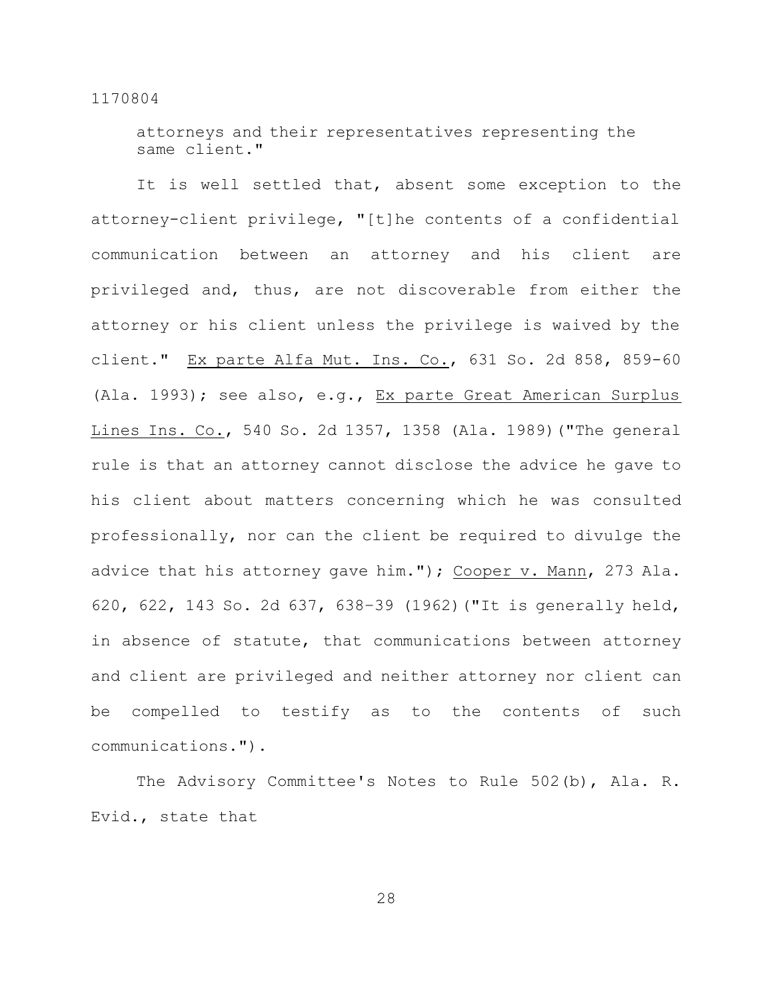attorneys and their representatives representing the same client."

It is well settled that, absent some exception to the attorney-client privilege, "[t]he contents of a confidential communication between an attorney and his client are privileged and, thus, are not discoverable from either the attorney or his client unless the privilege is waived by the client." Ex parte Alfa Mut. Ins. Co., 631 So. 2d 858, 859-60 (Ala. 1993); see also, e.g., Ex parte Great American Surplus Lines Ins. Co., 540 So. 2d 1357, 1358 (Ala. 1989)("The general rule is that an attorney cannot disclose the advice he gave to his client about matters concerning which he was consulted professionally, nor can the client be required to divulge the advice that his attorney gave him."); Cooper v. Mann, 273 Ala. 620, 622, 143 So. 2d 637, 638–39 (1962)("It is generally held, in absence of statute, that communications between attorney and client are privileged and neither attorney nor client can be compelled to testify as to the contents of such communications.").

The Advisory Committee's Notes to Rule 502(b), Ala. R. Evid., state that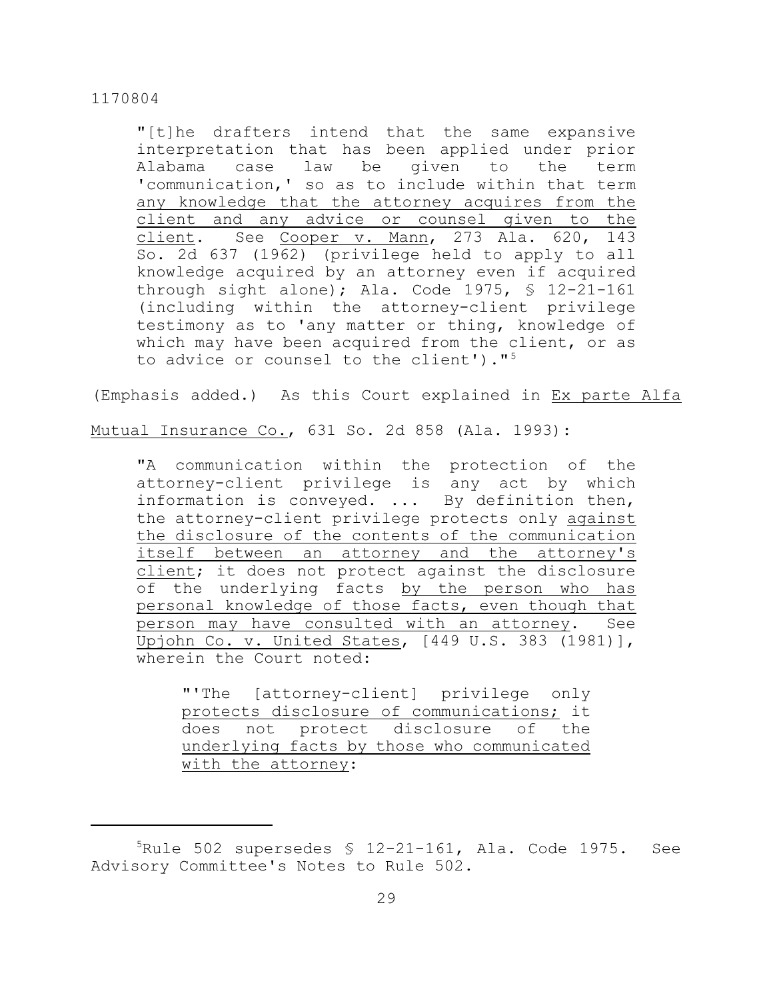"[t]he drafters intend that the same expansive interpretation that has been applied under prior Alabama case law be given to the term 'communication,' so as to include within that term any knowledge that the attorney acquires from the client and any advice or counsel given to the client. See Cooper v. Mann, 273 Ala. 620, 143 So. 2d 637 (1962) (privilege held to apply to all knowledge acquired by an attorney even if acquired through sight alone); Ala. Code  $1975$ ,  $\frac{12-21-161}{ }$ (including within the attorney-client privilege testimony as to 'any matter or thing, knowledge of which may have been acquired from the client, or as to advice or counsel to the client')."<sup>5</sup>

(Emphasis added.) As this Court explained in Ex parte Alfa

Mutual Insurance Co., 631 So. 2d 858 (Ala. 1993):

"A communication within the protection of the attorney-client privilege is any act by which information is conveyed. ... By definition then, the attorney-client privilege protects only against the disclosure of the contents of the communication itself between an attorney and the attorney's client; it does not protect against the disclosure of the underlying facts by the person who has personal knowledge of those facts, even though that person may have consulted with an attorney. See Upjohn Co. v. United States, [449 U.S. 383 (1981)], wherein the Court noted:

"'The [attorney-client] privilege only protects disclosure of communications; it does not protect disclosure of the underlying facts by those who communicated with the attorney:

 $5$ Rule 502 supersedes § 12-21-161, Ala. Code 1975. See Advisory Committee's Notes to Rule 502.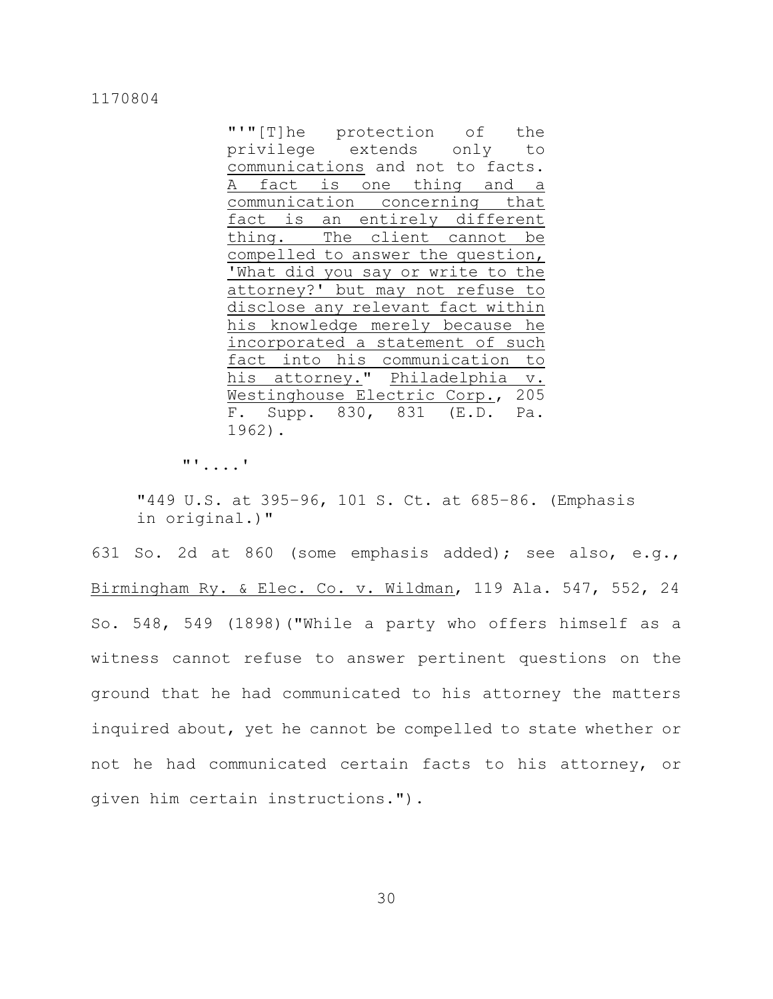|                                   | "'"[T]he protection of the |  |  |  |  |  |
|-----------------------------------|----------------------------|--|--|--|--|--|
| privilege extends only to         |                            |  |  |  |  |  |
| communications and not to facts.  |                            |  |  |  |  |  |
| A fact is one thing and a         |                            |  |  |  |  |  |
| communication concerning that     |                            |  |  |  |  |  |
| fact is an entirely different     |                            |  |  |  |  |  |
| thing. The client cannot be       |                            |  |  |  |  |  |
| compelled to answer the question, |                            |  |  |  |  |  |
| What did you say or write to the  |                            |  |  |  |  |  |
| attorney?' but may not refuse to  |                            |  |  |  |  |  |
| disclose any relevant fact within |                            |  |  |  |  |  |
| his knowledge merely because he   |                            |  |  |  |  |  |
| incorporated a statement of such  |                            |  |  |  |  |  |
| fact into his communication to    |                            |  |  |  |  |  |
| his attorney." Philadelphia v.    |                            |  |  |  |  |  |
| Westinghouse Electric Corp., 205  |                            |  |  |  |  |  |
| F. Supp. 830, 831 (E.D. Pa.       |                            |  |  |  |  |  |
| 1962).                            |                            |  |  |  |  |  |

"'....'

"449 U.S. at 395–96, 101 S. Ct. at 685–86. (Emphasis in original.)"

631 So. 2d at 860 (some emphasis added); see also, e.g., Birmingham Ry. & Elec. Co. v. Wildman, 119 Ala. 547, 552, 24 So. 548, 549 (1898)("While a party who offers himself as a witness cannot refuse to answer pertinent questions on the ground that he had communicated to his attorney the matters inquired about, yet he cannot be compelled to state whether or not he had communicated certain facts to his attorney, or given him certain instructions.").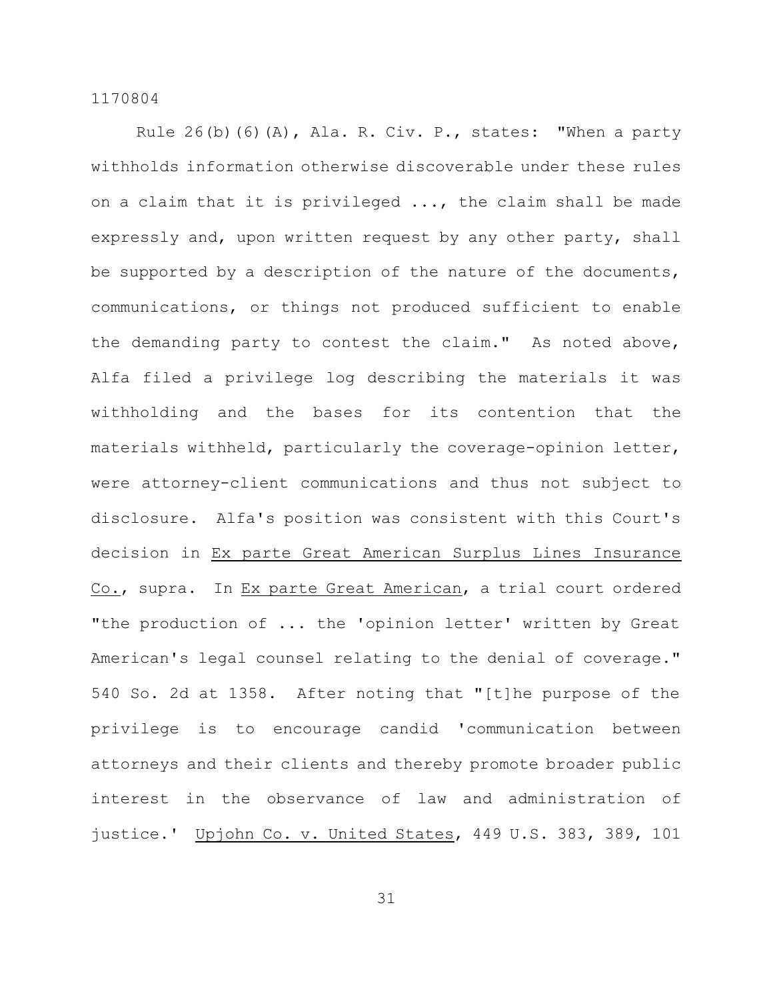Rule 26(b)(6)(A), Ala. R. Civ. P., states: "When a party withholds information otherwise discoverable under these rules on a claim that it is privileged ..., the claim shall be made expressly and, upon written request by any other party, shall be supported by a description of the nature of the documents, communications, or things not produced sufficient to enable the demanding party to contest the claim." As noted above, Alfa filed a privilege log describing the materials it was withholding and the bases for its contention that the materials withheld, particularly the coverage-opinion letter, were attorney-client communications and thus not subject to disclosure. Alfa's position was consistent with this Court's decision in Ex parte Great American Surplus Lines Insurance Co., supra. In Ex parte Great American, a trial court ordered "the production of ... the 'opinion letter' written by Great American's legal counsel relating to the denial of coverage." 540 So. 2d at 1358. After noting that "[t]he purpose of the privilege is to encourage candid 'communication between attorneys and their clients and thereby promote broader public interest in the observance of law and administration of justice.' Upjohn Co. v. United States, 449 U.S. 383, 389, 101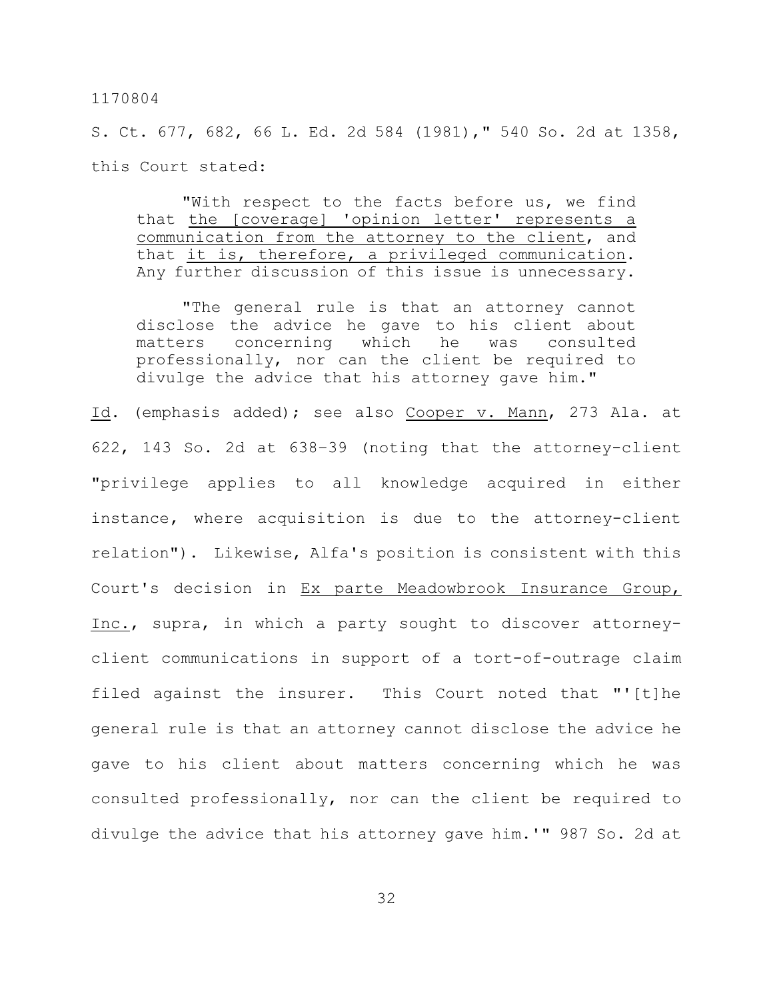S. Ct. 677, 682, 66 L. Ed. 2d 584 (1981)," 540 So. 2d at 1358, this Court stated:

"With respect to the facts before us, we find that the [coverage] 'opinion letter' represents a communication from the attorney to the client, and that it is, therefore, a privileged communication. Any further discussion of this issue is unnecessary.

"The general rule is that an attorney cannot disclose the advice he gave to his client about matters concerning which he was consulted professionally, nor can the client be required to divulge the advice that his attorney gave him."

Id. (emphasis added); see also Cooper v. Mann, 273 Ala. at 622, 143 So. 2d at 638–39 (noting that the attorney-client "privilege applies to all knowledge acquired in either instance, where acquisition is due to the attorney-client relation"). Likewise, Alfa's position is consistent with this Court's decision in Ex parte Meadowbrook Insurance Group, Inc., supra, in which a party sought to discover attorneyclient communications in support of a tort-of-outrage claim filed against the insurer. This Court noted that "'[t]he general rule is that an attorney cannot disclose the advice he gave to his client about matters concerning which he was consulted professionally, nor can the client be required to divulge the advice that his attorney gave him.'" 987 So. 2d at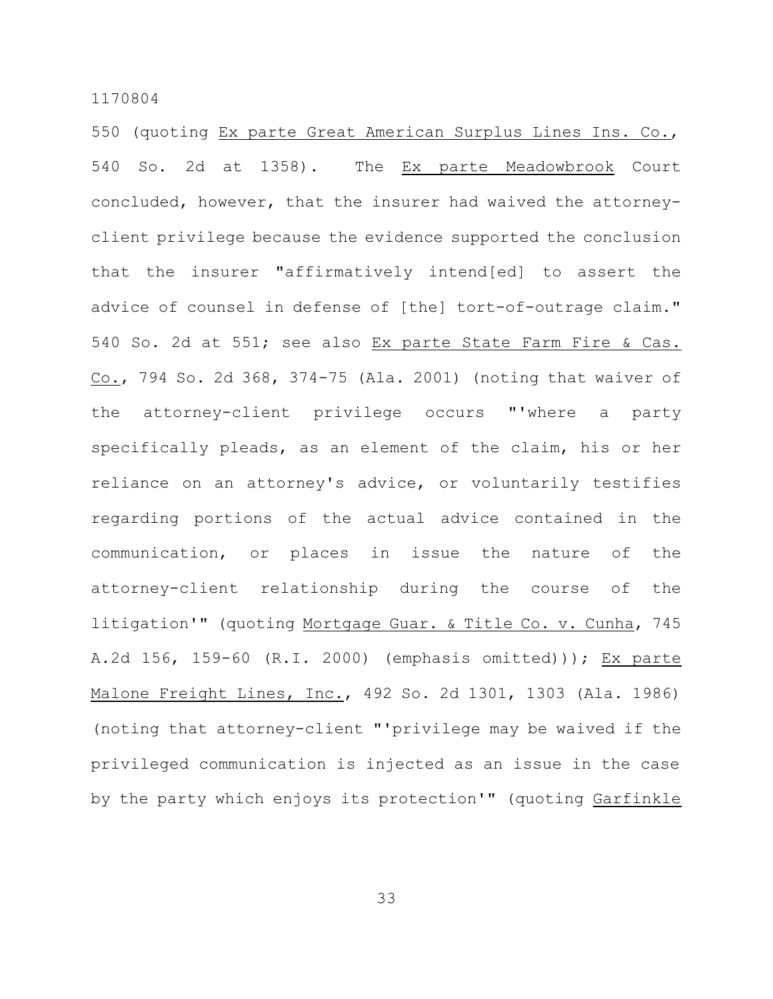550 (quoting Ex parte Great American Surplus Lines Ins. Co., 540 So. 2d at 1358). The Ex parte Meadowbrook Court concluded, however, that the insurer had waived the attorneyclient privilege because the evidence supported the conclusion that the insurer "affirmatively intend[ed] to assert the advice of counsel in defense of [the] tort-of-outrage claim." 540 So. 2d at 551; see also Ex parte State Farm Fire & Cas. Co., 794 So. 2d 368, 374-75 (Ala. 2001) (noting that waiver of the attorney-client privilege occurs "'where a party specifically pleads, as an element of the claim, his or her reliance on an attorney's advice, or voluntarily testifies regarding portions of the actual advice contained in the communication, or places in issue the nature of the attorney-client relationship during the course of the litigation'" (quoting Mortgage Guar. & Title Co. v. Cunha, 745 A.2d 156, 159-60 (R.I. 2000) (emphasis omitted))); Ex parte Malone Freight Lines, Inc., 492 So. 2d 1301, 1303 (Ala. 1986) (noting that attorney-client "'privilege may be waived if the privileged communication is injected as an issue in the case by the party which enjoys its protection'" (quoting Garfinkle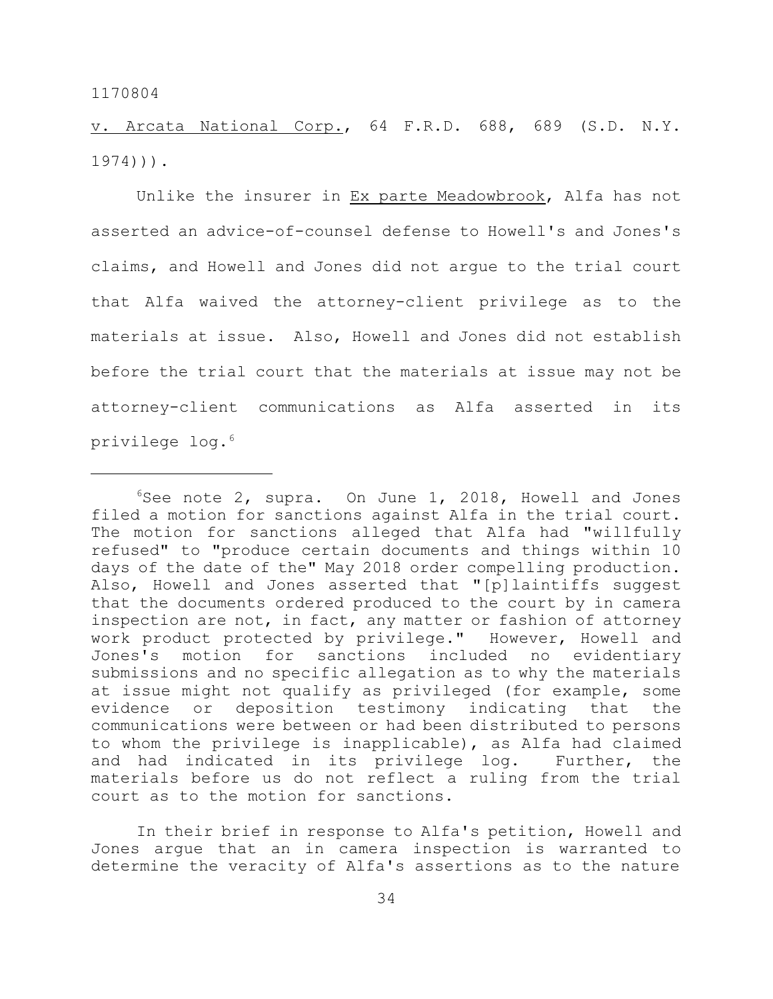v. Arcata National Corp., 64 F.R.D. 688, 689 (S.D. N.Y. 1974))).

Unlike the insurer in Ex parte Meadowbrook, Alfa has not asserted an advice-of-counsel defense to Howell's and Jones's claims, and Howell and Jones did not argue to the trial court that Alfa waived the attorney-client privilege as to the materials at issue. Also, Howell and Jones did not establish before the trial court that the materials at issue may not be attorney-client communications as Alfa asserted in its privilege log.<sup>6</sup>

In their brief in response to Alfa's petition, Howell and Jones argue that an in camera inspection is warranted to determine the veracity of Alfa's assertions as to the nature

 $6$ See note 2, supra. On June 1, 2018, Howell and Jones filed a motion for sanctions against Alfa in the trial court. The motion for sanctions alleged that Alfa had "willfully refused" to "produce certain documents and things within 10 days of the date of the" May 2018 order compelling production. Also, Howell and Jones asserted that "[p]laintiffs suggest that the documents ordered produced to the court by in camera inspection are not, in fact, any matter or fashion of attorney work product protected by privilege." However, Howell and Jones's motion for sanctions included no evidentiary submissions and no specific allegation as to why the materials at issue might not qualify as privileged (for example, some evidence or deposition testimony indicating that the communications were between or had been distributed to persons to whom the privilege is inapplicable), as Alfa had claimed and had indicated in its privilege log. Further, the materials before us do not reflect a ruling from the trial court as to the motion for sanctions.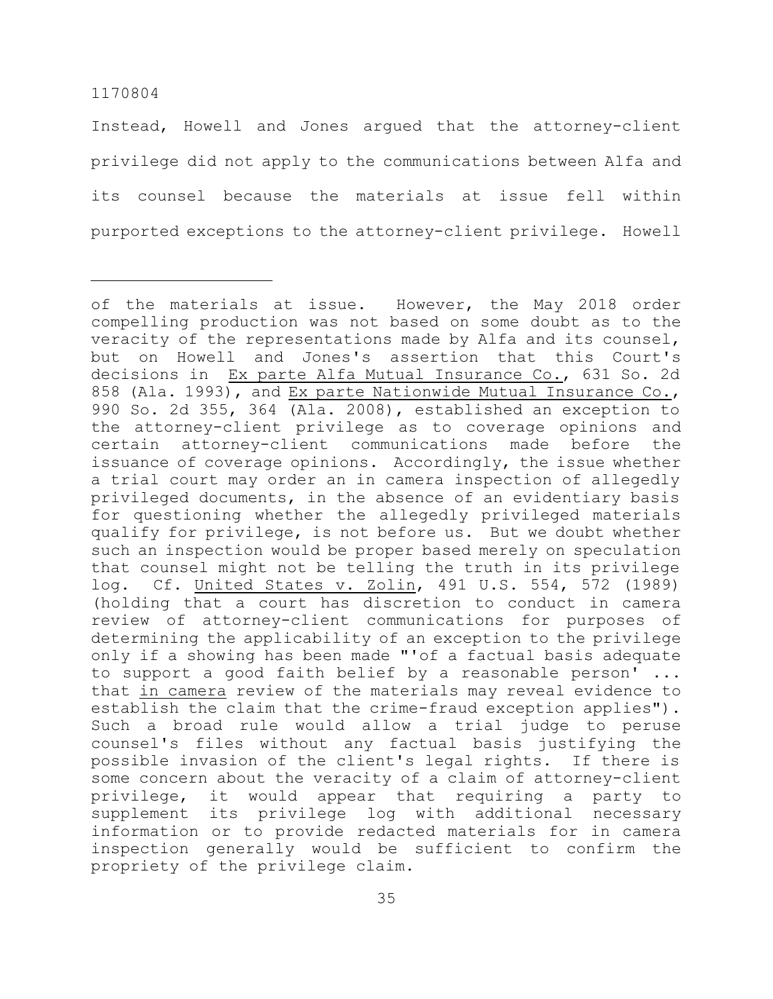Instead, Howell and Jones argued that the attorney-client privilege did not apply to the communications between Alfa and its counsel because the materials at issue fell within purported exceptions to the attorney-client privilege. Howell

of the materials at issue. However, the May 2018 order compelling production was not based on some doubt as to the veracity of the representations made by Alfa and its counsel, but on Howell and Jones's assertion that this Court's decisions in Ex parte Alfa Mutual Insurance Co., 631 So. 2d 858 (Ala. 1993), and Ex parte Nationwide Mutual Insurance Co., 990 So. 2d 355, 364 (Ala. 2008), established an exception to the attorney-client privilege as to coverage opinions and certain attorney-client communications made before the issuance of coverage opinions. Accordingly, the issue whether a trial court may order an in camera inspection of allegedly privileged documents, in the absence of an evidentiary basis for questioning whether the allegedly privileged materials qualify for privilege, is not before us. But we doubt whether such an inspection would be proper based merely on speculation that counsel might not be telling the truth in its privilege log. Cf. United States v. Zolin, 491 U.S. 554, 572 (1989) (holding that a court has discretion to conduct in camera review of attorney-client communications for purposes of determining the applicability of an exception to the privilege only if a showing has been made "'of a factual basis adequate to support a good faith belief by a reasonable person' ... that in camera review of the materials may reveal evidence to establish the claim that the crime-fraud exception applies"). Such a broad rule would allow a trial judge to peruse counsel's files without any factual basis justifying the possible invasion of the client's legal rights. If there is some concern about the veracity of a claim of attorney-client privilege, it would appear that requiring a party to supplement its privilege log with additional necessary information or to provide redacted materials for in camera inspection generally would be sufficient to confirm the propriety of the privilege claim.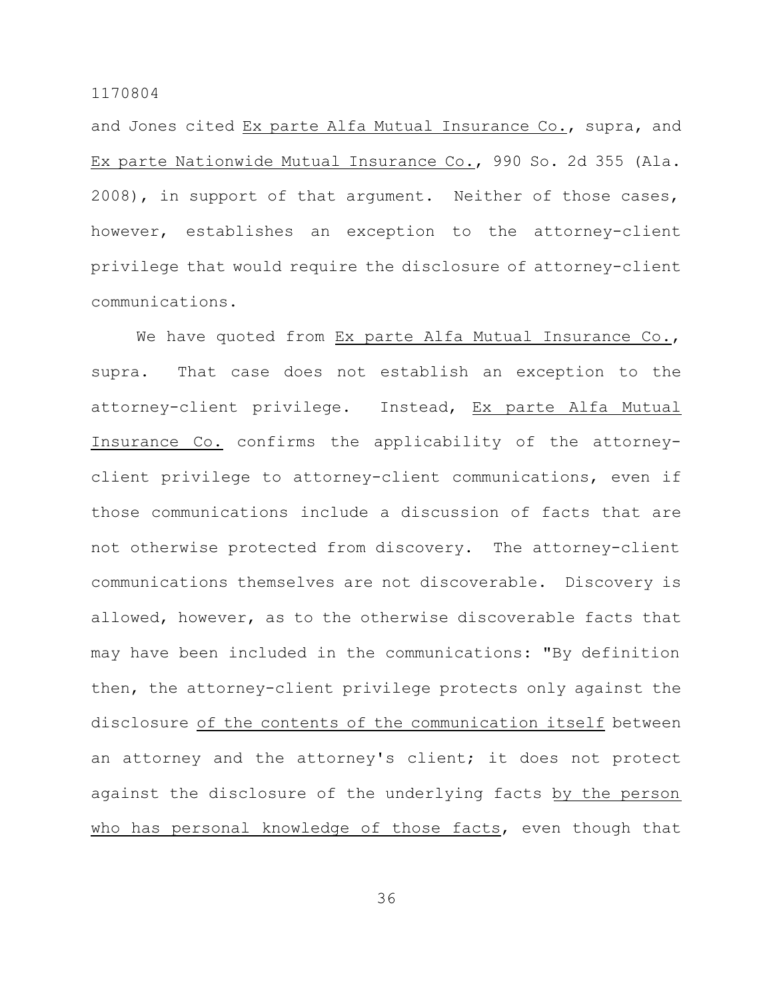and Jones cited Ex parte Alfa Mutual Insurance Co., supra, and Ex parte Nationwide Mutual Insurance Co., 990 So. 2d 355 (Ala. 2008), in support of that argument. Neither of those cases, however, establishes an exception to the attorney-client privilege that would require the disclosure of attorney-client communications.

We have quoted from Ex parte Alfa Mutual Insurance Co., supra. That case does not establish an exception to the attorney-client privilege. Instead, Ex parte Alfa Mutual Insurance Co. confirms the applicability of the attorneyclient privilege to attorney-client communications, even if those communications include a discussion of facts that are not otherwise protected from discovery. The attorney-client communications themselves are not discoverable. Discovery is allowed, however, as to the otherwise discoverable facts that may have been included in the communications: "By definition then, the attorney-client privilege protects only against the disclosure of the contents of the communication itself between an attorney and the attorney's client; it does not protect against the disclosure of the underlying facts by the person who has personal knowledge of those facts, even though that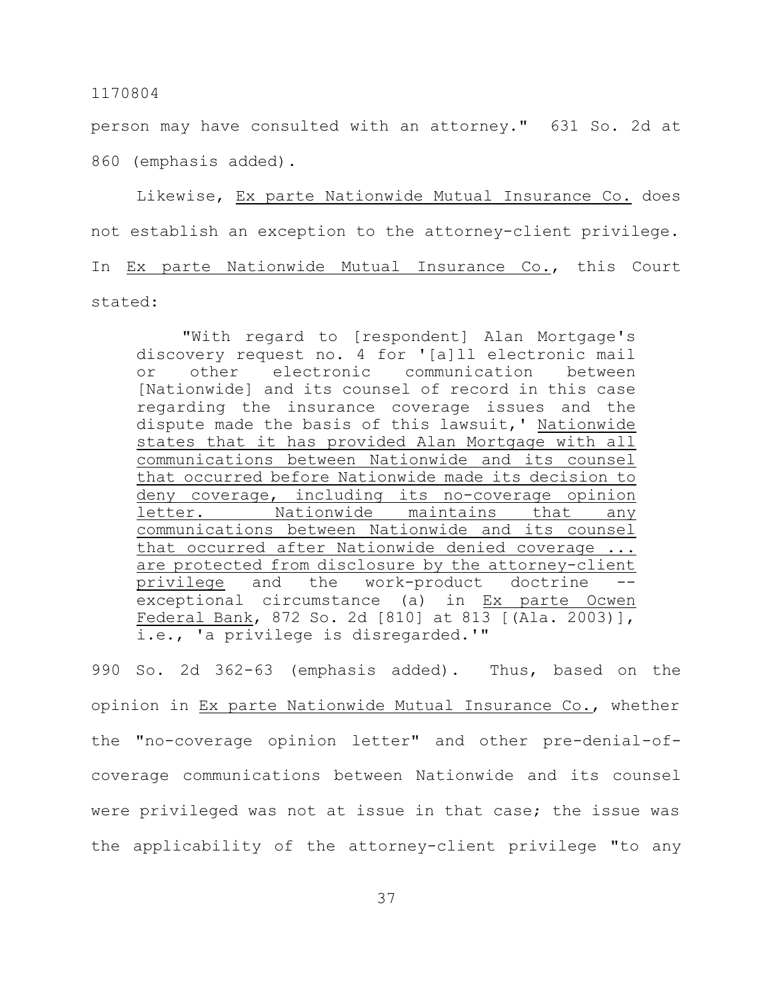person may have consulted with an attorney." 631 So. 2d at 860 (emphasis added).

Likewise, Ex parte Nationwide Mutual Insurance Co. does not establish an exception to the attorney-client privilege. In Ex parte Nationwide Mutual Insurance Co., this Court stated:

"With regard to [respondent] Alan Mortgage's discovery request no. 4 for '[a]ll electronic mail or other electronic communication between [Nationwide] and its counsel of record in this case regarding the insurance coverage issues and the dispute made the basis of this lawsuit,' Nationwide states that it has provided Alan Mortgage with all communications between Nationwide and its counsel that occurred before Nationwide made its decision to deny coverage, including its no-coverage opinion letter. Nationwide maintains that any communications between Nationwide and its counsel that occurred after Nationwide denied coverage ... are protected from disclosure by the attorney-client privilege and the work-product doctrine exceptional circumstance (a) in Ex parte Ocwen Federal Bank, 872 So. 2d [810] at 813 [(Ala. 2003)], i.e., 'a privilege is disregarded.'"

990 So. 2d 362-63 (emphasis added). Thus, based on the opinion in Ex parte Nationwide Mutual Insurance Co., whether the "no-coverage opinion letter" and other pre-denial-ofcoverage communications between Nationwide and its counsel were privileged was not at issue in that case; the issue was the applicability of the attorney-client privilege "to any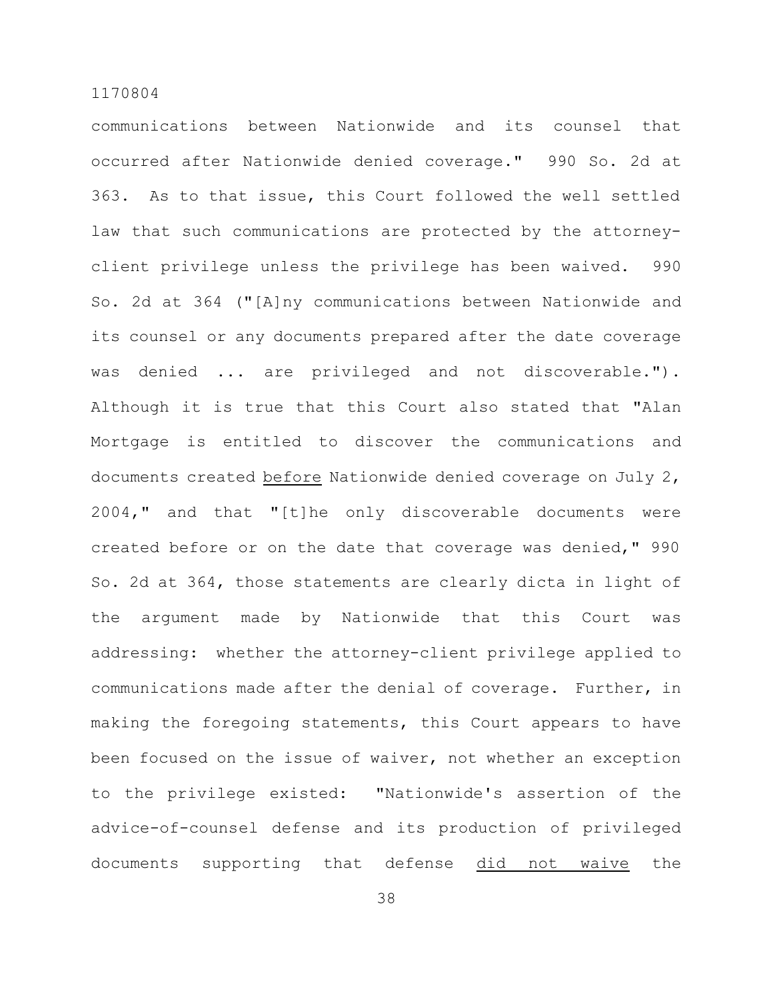communications between Nationwide and its counsel that occurred after Nationwide denied coverage." 990 So. 2d at 363. As to that issue, this Court followed the well settled law that such communications are protected by the attorneyclient privilege unless the privilege has been waived. 990 So. 2d at 364 ("[A]ny communications between Nationwide and its counsel or any documents prepared after the date coverage was denied ... are privileged and not discoverable."). Although it is true that this Court also stated that "Alan Mortgage is entitled to discover the communications and documents created before Nationwide denied coverage on July 2, 2004," and that "[t]he only discoverable documents were created before or on the date that coverage was denied," 990 So. 2d at 364, those statements are clearly dicta in light of the argument made by Nationwide that this Court was addressing: whether the attorney-client privilege applied to communications made after the denial of coverage. Further, in making the foregoing statements, this Court appears to have been focused on the issue of waiver, not whether an exception to the privilege existed: "Nationwide's assertion of the advice-of-counsel defense and its production of privileged documents supporting that defense did not waive the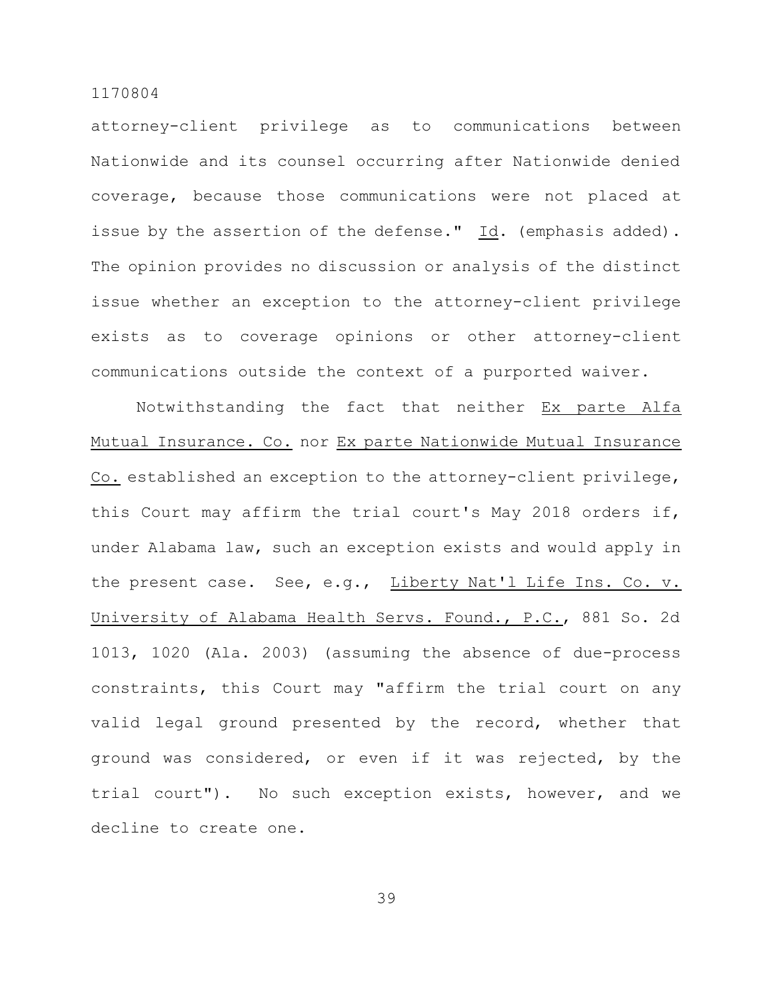attorney-client privilege as to communications between Nationwide and its counsel occurring after Nationwide denied coverage, because those communications were not placed at issue by the assertion of the defense." Id. (emphasis added). The opinion provides no discussion or analysis of the distinct issue whether an exception to the attorney-client privilege exists as to coverage opinions or other attorney-client communications outside the context of a purported waiver.

Notwithstanding the fact that neither Ex parte Alfa Mutual Insurance. Co. nor Ex parte Nationwide Mutual Insurance Co. established an exception to the attorney-client privilege, this Court may affirm the trial court's May 2018 orders if, under Alabama law, such an exception exists and would apply in the present case. See, e.g., Liberty Nat'l Life Ins. Co. v. University of Alabama Health Servs. Found., P.C., 881 So. 2d 1013, 1020 (Ala. 2003) (assuming the absence of due-process constraints, this Court may "affirm the trial court on any valid legal ground presented by the record, whether that ground was considered, or even if it was rejected, by the trial court"). No such exception exists, however, and we decline to create one.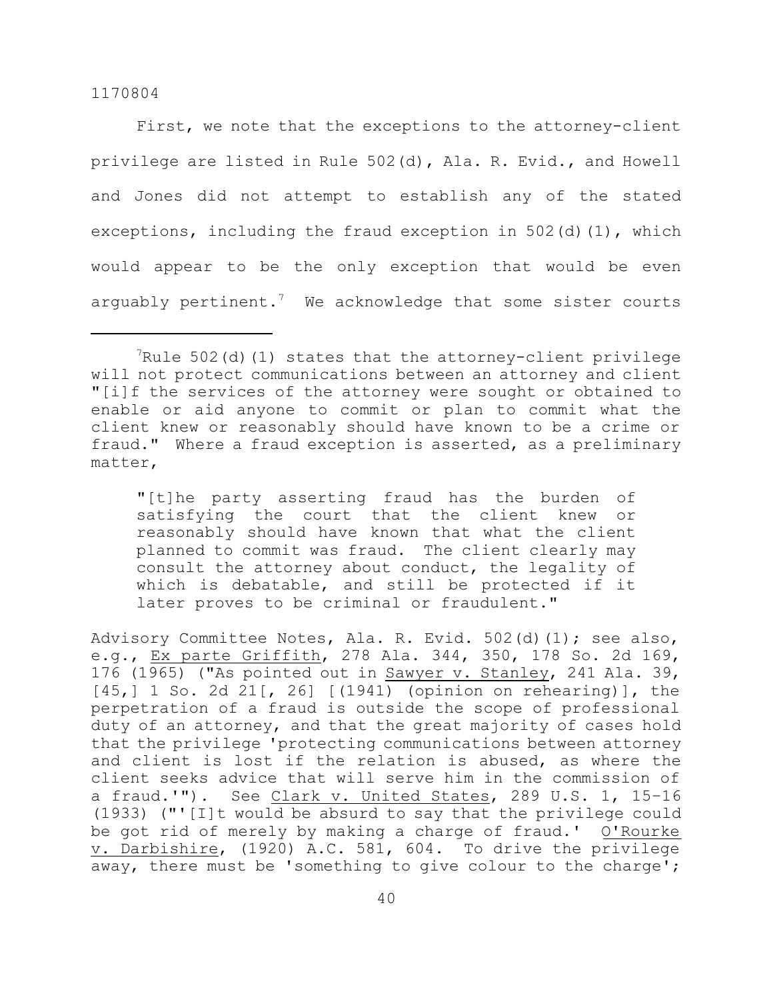First, we note that the exceptions to the attorney-client privilege are listed in Rule 502(d), Ala. R. Evid., and Howell and Jones did not attempt to establish any of the stated exceptions, including the fraud exception in  $502(d)(1)$ , which would appear to be the only exception that would be even arguably pertinent.<sup>7</sup> We acknowledge that some sister courts

"[t]he party asserting fraud has the burden of satisfying the court that the client knew or reasonably should have known that what the client planned to commit was fraud. The client clearly may consult the attorney about conduct, the legality of which is debatable, and still be protected if it later proves to be criminal or fraudulent."

Advisory Committee Notes, Ala. R. Evid. 502(d)(1); see also, e.g., Ex parte Griffith, 278 Ala. 344, 350, 178 So. 2d 169, 176 (1965) ("As pointed out in Sawyer v. Stanley, 241 Ala. 39, [45,] 1 So. 2d 21[, 26] [(1941) (opinion on rehearing)], the perpetration of a fraud is outside the scope of professional duty of an attorney, and that the great majority of cases hold that the privilege 'protecting communications between attorney and client is lost if the relation is abused, as where the client seeks advice that will serve him in the commission of a fraud.'"). See Clark v. United States, 289 U.S. 1, 15-16 (1933) ("'[I]t would be absurd to say that the privilege could be got rid of merely by making a charge of fraud.' O'Rourke v. Darbishire, (1920) A.C. 581, 604. To drive the privilege away, there must be 'something to give colour to the charge';

 $7$ Rule 502(d)(1) states that the attorney-client privilege will not protect communications between an attorney and client "[i]f the services of the attorney were sought or obtained to enable or aid anyone to commit or plan to commit what the client knew or reasonably should have known to be a crime or fraud." Where a fraud exception is asserted, as a preliminary matter,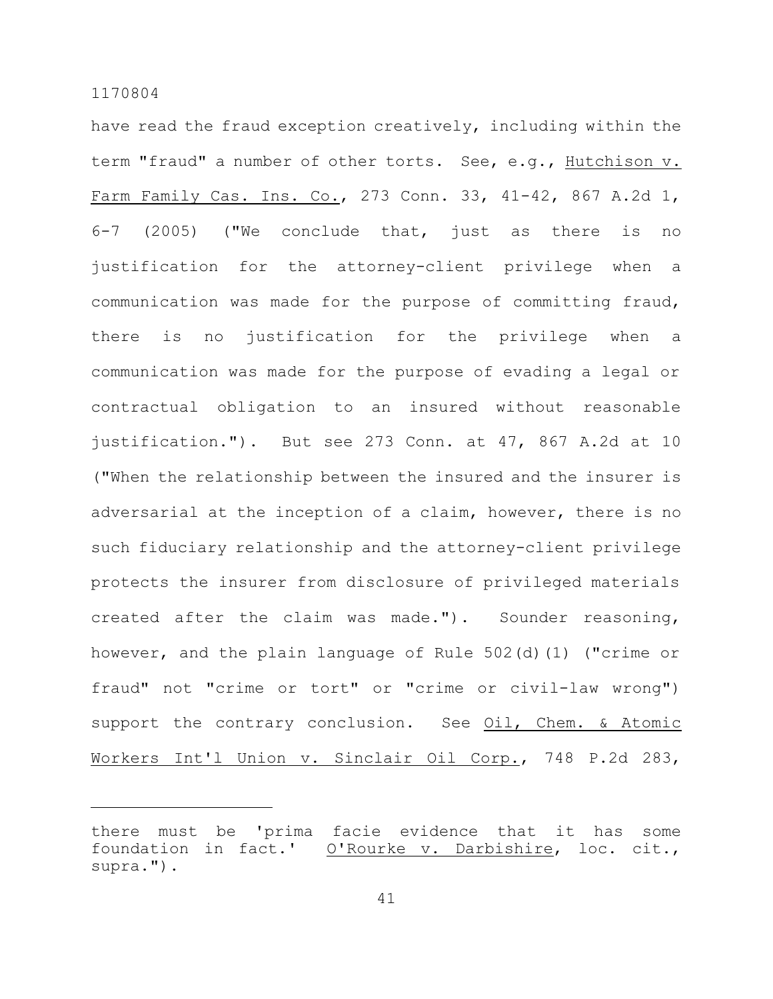have read the fraud exception creatively, including within the term "fraud" a number of other torts. See, e.g., Hutchison v. Farm Family Cas. Ins. Co., 273 Conn. 33, 41-42, 867 A.2d 1, 6-7 (2005) ("We conclude that, just as there is no justification for the attorney-client privilege when a communication was made for the purpose of committing fraud, there is no justification for the privilege when a communication was made for the purpose of evading a legal or contractual obligation to an insured without reasonable justification."). But see 273 Conn. at 47, 867 A.2d at 10 ("When the relationship between the insured and the insurer is adversarial at the inception of a claim, however, there is no such fiduciary relationship and the attorney-client privilege protects the insurer from disclosure of privileged materials created after the claim was made."). Sounder reasoning, however, and the plain language of Rule 502(d)(1) ("crime or fraud" not "crime or tort" or "crime or civil-law wrong") support the contrary conclusion. See Oil, Chem. & Atomic Workers Int'l Union v. Sinclair Oil Corp., 748 P.2d 283,

there must be 'prima facie evidence that it has some foundation in fact.' O'Rourke v. Darbishire, loc. cit., supra.").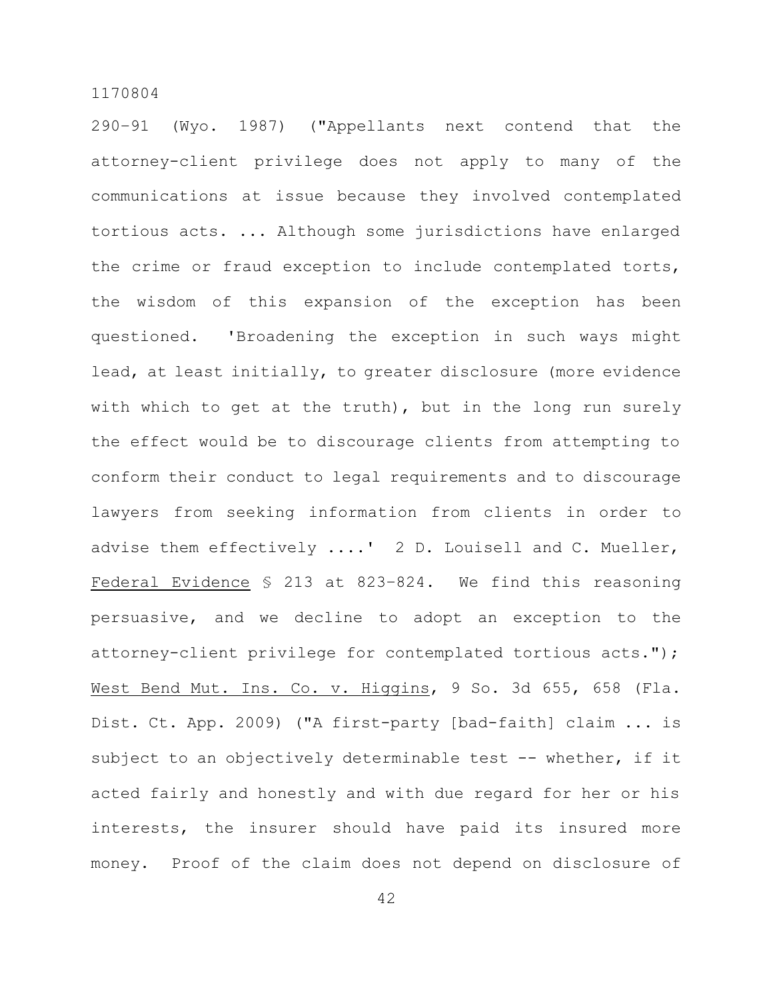290–91 (Wyo. 1987) ("Appellants next contend that the attorney-client privilege does not apply to many of the communications at issue because they involved contemplated tortious acts. ... Although some jurisdictions have enlarged the crime or fraud exception to include contemplated torts, the wisdom of this expansion of the exception has been questioned. 'Broadening the exception in such ways might lead, at least initially, to greater disclosure (more evidence with which to get at the truth), but in the long run surely the effect would be to discourage clients from attempting to conform their conduct to legal requirements and to discourage lawyers from seeking information from clients in order to advise them effectively ....' 2 D. Louisell and C. Mueller, Federal Evidence § 213 at 823–824. We find this reasoning persuasive, and we decline to adopt an exception to the attorney-client privilege for contemplated tortious acts."); West Bend Mut. Ins. Co. v. Higgins, 9 So. 3d 655, 658 (Fla. Dist. Ct. App. 2009) ("A first-party [bad-faith] claim ... is subject to an objectively determinable test -- whether, if it acted fairly and honestly and with due regard for her or his interests, the insurer should have paid its insured more money. Proof of the claim does not depend on disclosure of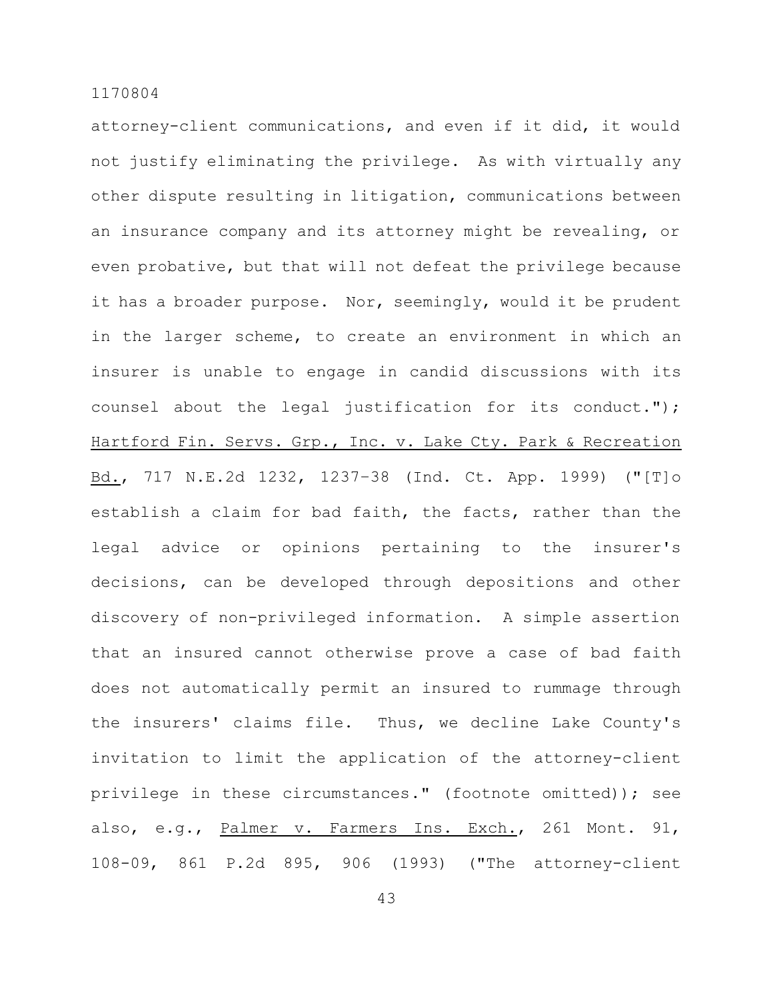attorney-client communications, and even if it did, it would not justify eliminating the privilege. As with virtually any other dispute resulting in litigation, communications between an insurance company and its attorney might be revealing, or even probative, but that will not defeat the privilege because it has a broader purpose. Nor, seemingly, would it be prudent in the larger scheme, to create an environment in which an insurer is unable to engage in candid discussions with its counsel about the legal justification for its conduct."); Hartford Fin. Servs. Grp., Inc. v. Lake Cty. Park & Recreation Bd., 717 N.E.2d 1232, 1237–38 (Ind. Ct. App. 1999) ("[T]o establish a claim for bad faith, the facts, rather than the legal advice or opinions pertaining to the insurer's decisions, can be developed through depositions and other discovery of non-privileged information. A simple assertion that an insured cannot otherwise prove a case of bad faith does not automatically permit an insured to rummage through the insurers' claims file. Thus, we decline Lake County's invitation to limit the application of the attorney-client privilege in these circumstances." (footnote omitted)); see also, e.g., Palmer v. Farmers Ins. Exch., 261 Mont. 91, 108-09, 861 P.2d 895, 906 (1993) ("The attorney-client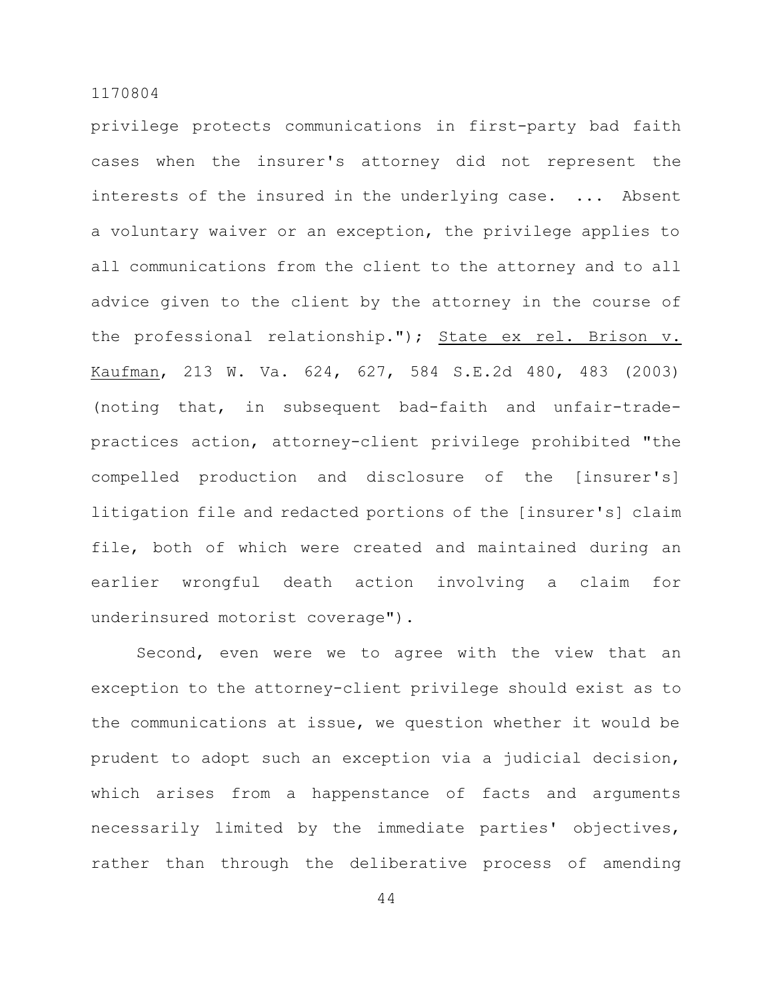privilege protects communications in first-party bad faith cases when the insurer's attorney did not represent the interests of the insured in the underlying case. ... Absent a voluntary waiver or an exception, the privilege applies to all communications from the client to the attorney and to all advice given to the client by the attorney in the course of the professional relationship."); State ex rel. Brison v. Kaufman, 213 W. Va. 624, 627, 584 S.E.2d 480, 483 (2003) (noting that, in subsequent bad-faith and unfair-tradepractices action, attorney-client privilege prohibited "the compelled production and disclosure of the [insurer's] litigation file and redacted portions of the [insurer's] claim file, both of which were created and maintained during an earlier wrongful death action involving a claim for underinsured motorist coverage").

Second, even were we to agree with the view that an exception to the attorney-client privilege should exist as to the communications at issue, we question whether it would be prudent to adopt such an exception via a judicial decision, which arises from a happenstance of facts and arguments necessarily limited by the immediate parties' objectives, rather than through the deliberative process of amending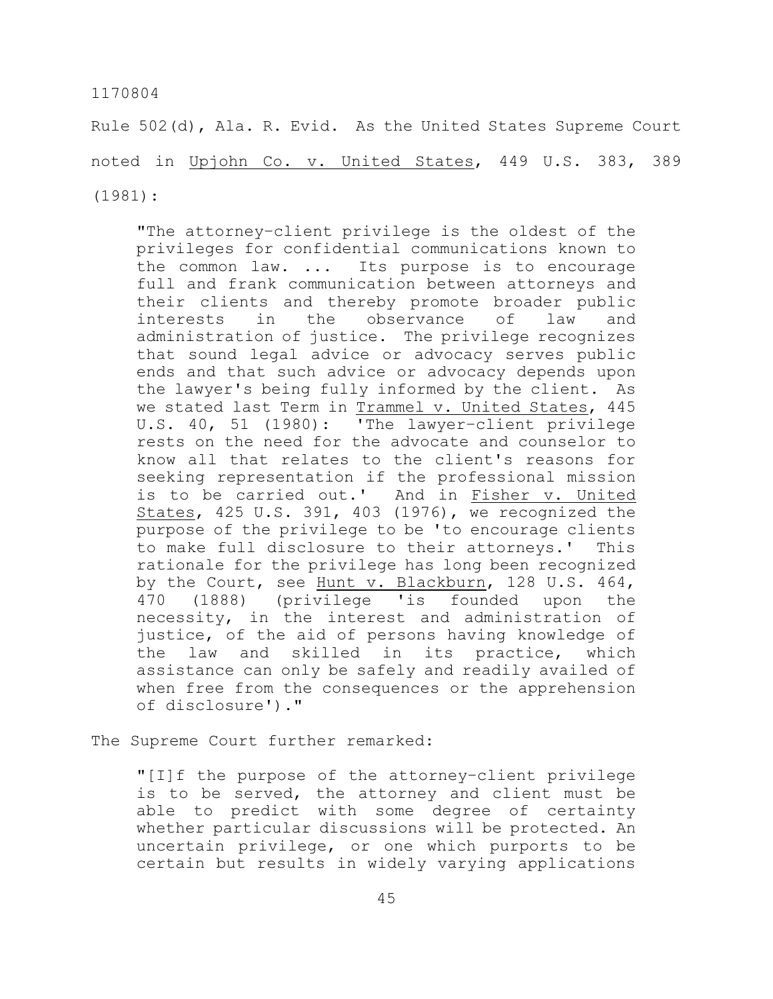Rule 502(d), Ala. R. Evid. As the United States Supreme Court noted in Upjohn Co. v. United States, 449 U.S. 383, 389 (1981):

"The attorney–client privilege is the oldest of the privileges for confidential communications known to the common law. ... Its purpose is to encourage full and frank communication between attorneys and their clients and thereby promote broader public interests in the observance of law and administration of justice. The privilege recognizes that sound legal advice or advocacy serves public ends and that such advice or advocacy depends upon the lawyer's being fully informed by the client. As we stated last Term in Trammel v. United States, 445 U.S. 40, 51 (1980): 'The lawyer–client privilege rests on the need for the advocate and counselor to know all that relates to the client's reasons for seeking representation if the professional mission is to be carried out.' And in Fisher v. United States, 425 U.S. 391, 403 (1976), we recognized the purpose of the privilege to be 'to encourage clients to make full disclosure to their attorneys.' This rationale for the privilege has long been recognized by the Court, see Hunt v. Blackburn, 128 U.S. 464, 470 (1888) (privilege 'is founded upon the necessity, in the interest and administration of justice, of the aid of persons having knowledge of the law and skilled in its practice, which assistance can only be safely and readily availed of when free from the consequences or the apprehension of disclosure')."

The Supreme Court further remarked:

"[I]f the purpose of the attorney–client privilege is to be served, the attorney and client must be able to predict with some degree of certainty whether particular discussions will be protected. An uncertain privilege, or one which purports to be certain but results in widely varying applications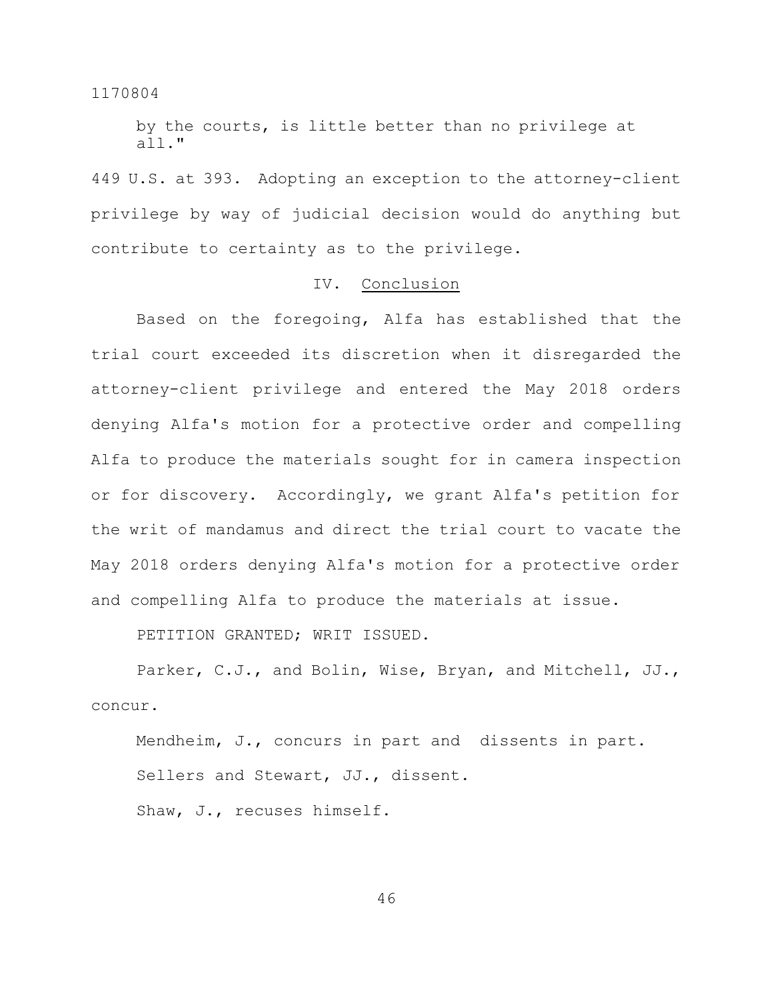by the courts, is little better than no privilege at all."

449 U.S. at 393. Adopting an exception to the attorney-client privilege by way of judicial decision would do anything but contribute to certainty as to the privilege.

## IV. Conclusion

Based on the foregoing, Alfa has established that the trial court exceeded its discretion when it disregarded the attorney-client privilege and entered the May 2018 orders denying Alfa's motion for a protective order and compelling Alfa to produce the materials sought for in camera inspection or for discovery. Accordingly, we grant Alfa's petition for the writ of mandamus and direct the trial court to vacate the May 2018 orders denying Alfa's motion for a protective order and compelling Alfa to produce the materials at issue.

PETITION GRANTED; WRIT ISSUED.

Parker, C.J., and Bolin, Wise, Bryan, and Mitchell, JJ., concur.

Mendheim, J., concurs in part and dissents in part. Sellers and Stewart, JJ., dissent.

Shaw, J., recuses himself.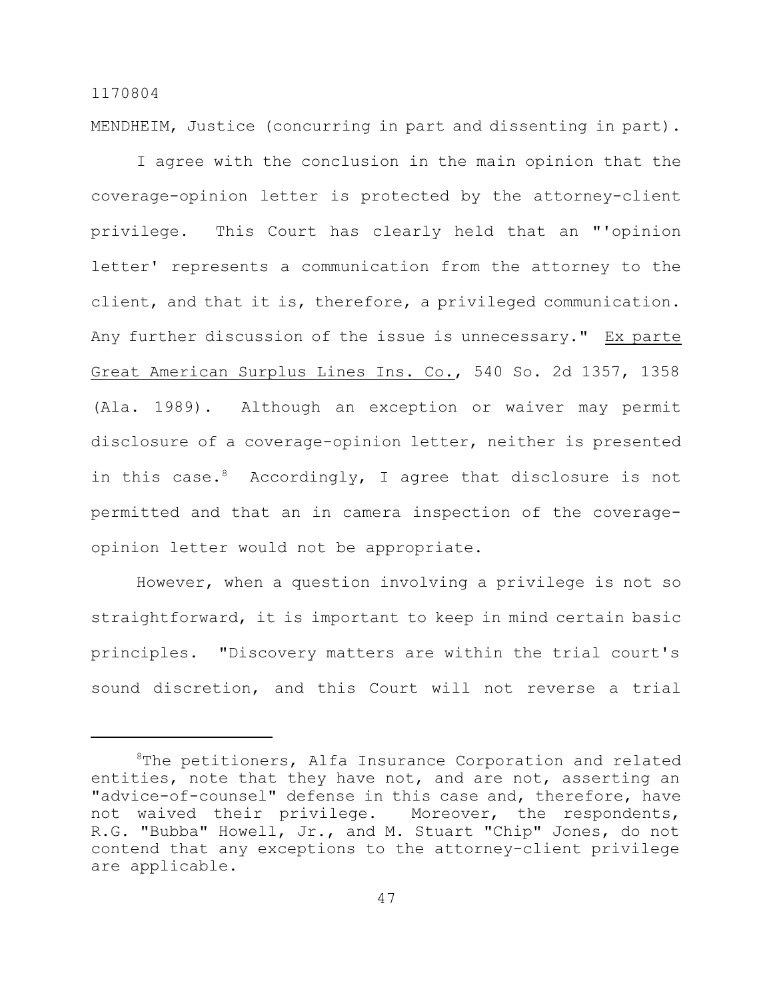MENDHEIM, Justice (concurring in part and dissenting in part).

1170804

I agree with the conclusion in the main opinion that the coverage-opinion letter is protected by the attorney-client privilege. This Court has clearly held that an "'opinion letter' represents a communication from the attorney to the client, and that it is, therefore, a privileged communication. Any further discussion of the issue is unnecessary." Ex parte Great American Surplus Lines Ins. Co., 540 So. 2d 1357, 1358 (Ala. 1989). Although an exception or waiver may permit disclosure of a coverage-opinion letter, neither is presented in this case. $8$  Accordingly, I agree that disclosure is not permitted and that an in camera inspection of the coverageopinion letter would not be appropriate.

However, when a question involving a privilege is not so straightforward, it is important to keep in mind certain basic principles. "Discovery matters are within the trial court's sound discretion, and this Court will not reverse a trial

 $8$ The petitioners, Alfa Insurance Corporation and related entities, note that they have not, and are not, asserting an "advice-of-counsel" defense in this case and, therefore, have not waived their privilege. Moreover, the respondents, R.G. "Bubba" Howell, Jr., and M. Stuart "Chip" Jones, do not contend that any exceptions to the attorney-client privilege are applicable.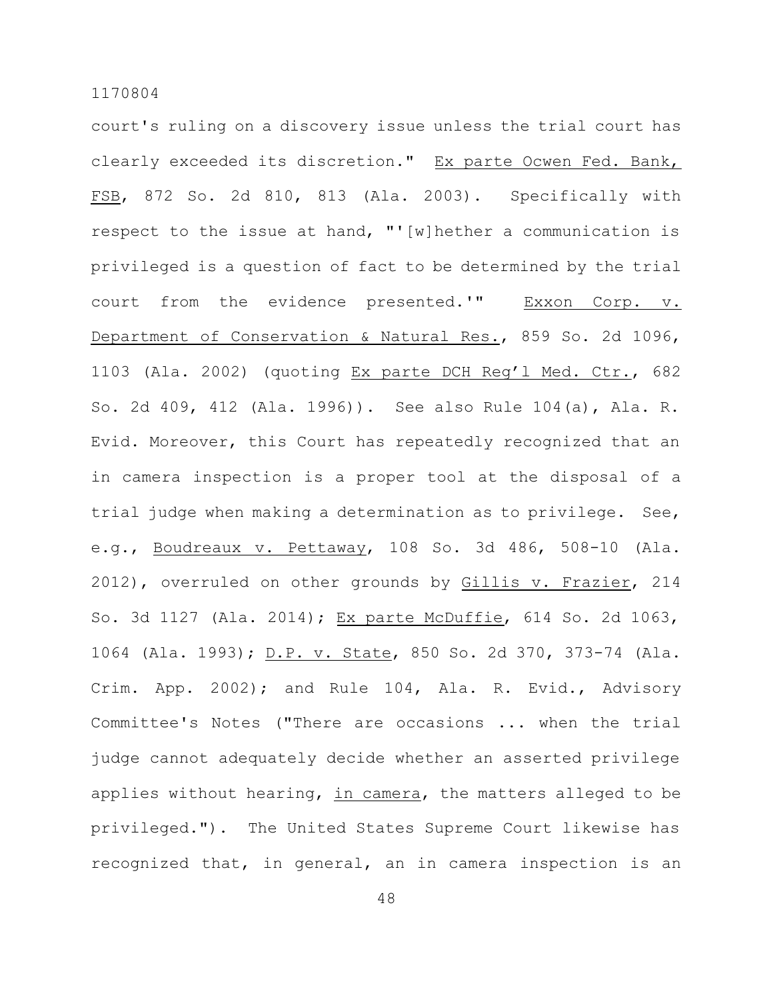court's ruling on a discovery issue unless the trial court has clearly exceeded its discretion." Ex parte Ocwen Fed. Bank, FSB, 872 So. 2d 810, 813 (Ala. 2003). Specifically with respect to the issue at hand, "'[w]hether a communication is privileged is a question of fact to be determined by the trial court from the evidence presented.'" Exxon Corp. v. Department of Conservation & Natural Res., 859 So. 2d 1096, 1103 (Ala. 2002) (quoting Ex parte DCH Reg'l Med. Ctr., 682 So. 2d 409, 412 (Ala. 1996)). See also Rule 104(a), Ala. R. Evid. Moreover, this Court has repeatedly recognized that an in camera inspection is a proper tool at the disposal of a trial judge when making a determination as to privilege. See, e.g., Boudreaux v. Pettaway, 108 So. 3d 486, 508-10 (Ala. 2012), overruled on other grounds by Gillis v. Frazier, 214 So. 3d 1127 (Ala. 2014); Ex parte McDuffie, 614 So. 2d 1063, 1064 (Ala. 1993); D.P. v. State, 850 So. 2d 370, 373-74 (Ala. Crim. App. 2002); and Rule 104, Ala. R. Evid., Advisory Committee's Notes ("There are occasions ... when the trial judge cannot adequately decide whether an asserted privilege applies without hearing, in camera, the matters alleged to be privileged."). The United States Supreme Court likewise has recognized that, in general, an in camera inspection is an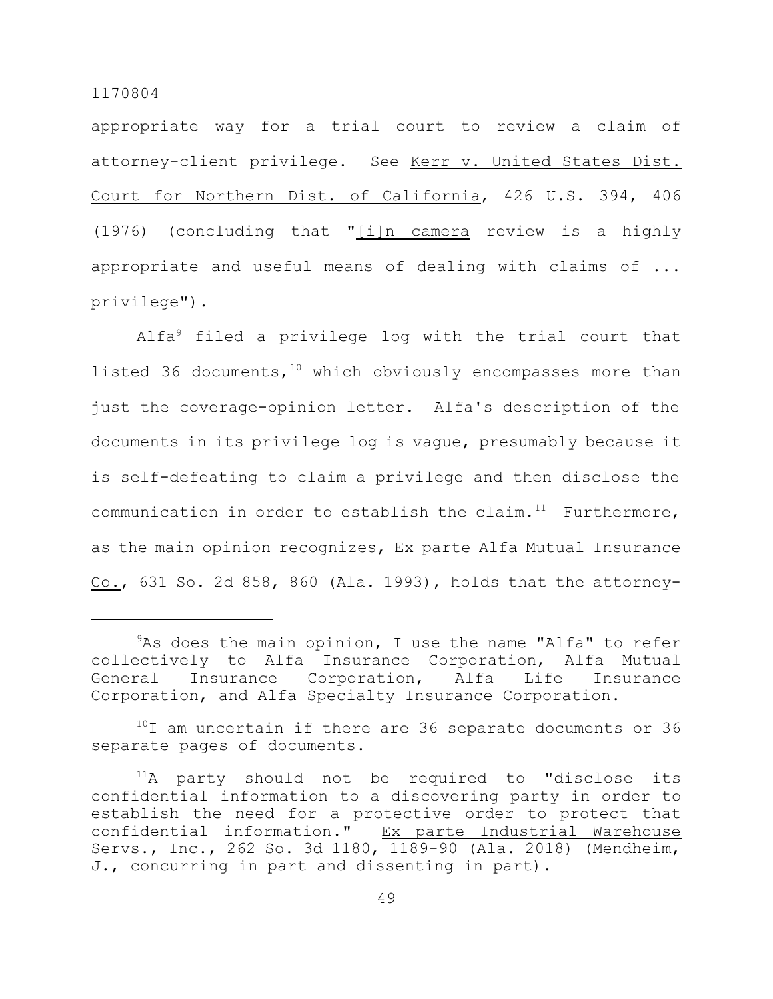appropriate way for a trial court to review a claim of attorney-client privilege. See Kerr v. United States Dist. Court for Northern Dist. of California, 426 U.S. 394, 406 (1976) (concluding that "[i]n camera review is a highly appropriate and useful means of dealing with claims of ... privilege").

Alfa<sup>9</sup> filed a privilege log with the trial court that listed 36 documents,  $10$  which obviously encompasses more than just the coverage-opinion letter. Alfa's description of the documents in its privilege log is vague, presumably because it is self-defeating to claim a privilege and then disclose the communication in order to establish the claim. $11$  Furthermore, as the main opinion recognizes, Ex parte Alfa Mutual Insurance Co., 631 So. 2d 858, 860 (Ala. 1993), holds that the attorney-

 $10$ I am uncertain if there are 36 separate documents or 36 separate pages of documents.

 $9As$  does the main opinion, I use the name "Alfa" to refer collectively to Alfa Insurance Corporation, Alfa Mutual General Insurance Corporation, Alfa Life Insurance Corporation, and Alfa Specialty Insurance Corporation.

 $11A$  party should not be required to "disclose its confidential information to a discovering party in order to establish the need for a protective order to protect that confidential information." Ex parte Industrial Warehouse Servs., Inc., 262 So. 3d 1180, 1189-90 (Ala. 2018) (Mendheim, J., concurring in part and dissenting in part).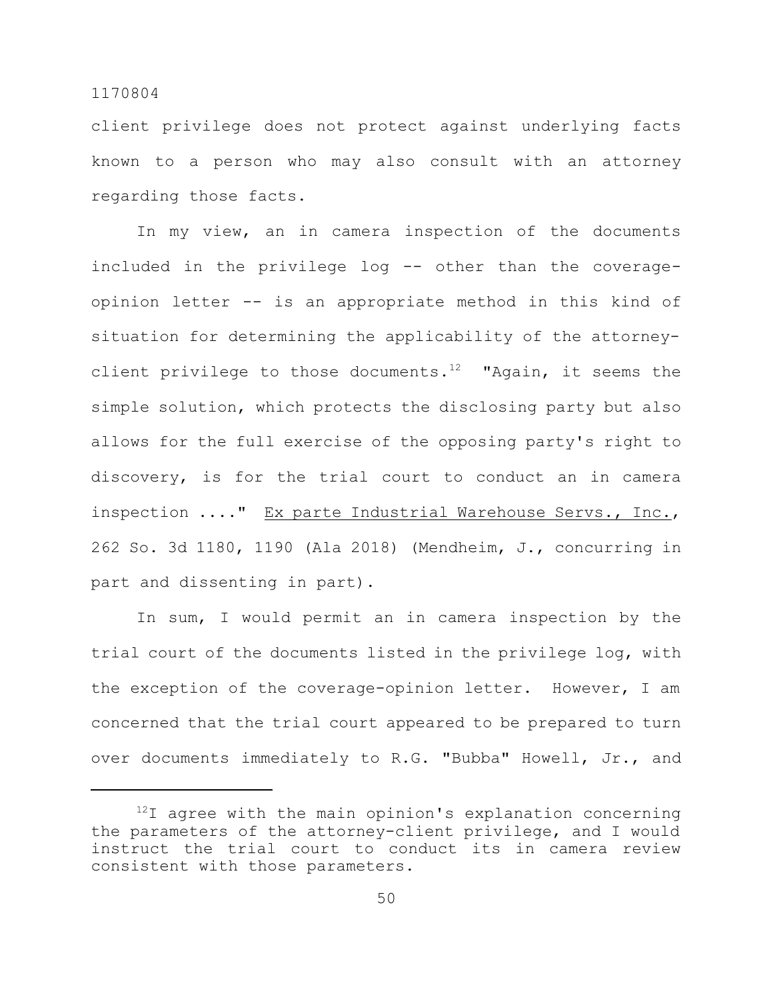client privilege does not protect against underlying facts known to a person who may also consult with an attorney regarding those facts.

In my view, an in camera inspection of the documents included in the privilege log -- other than the coverageopinion letter -- is an appropriate method in this kind of situation for determining the applicability of the attorneyclient privilege to those documents. $^{12}$  "Again, it seems the simple solution, which protects the disclosing party but also allows for the full exercise of the opposing party's right to discovery, is for the trial court to conduct an in camera inspection ...." Ex parte Industrial Warehouse Servs., Inc., 262 So. 3d 1180, 1190 (Ala 2018) (Mendheim, J., concurring in part and dissenting in part).

In sum, I would permit an in camera inspection by the trial court of the documents listed in the privilege log, with the exception of the coverage-opinion letter. However, I am concerned that the trial court appeared to be prepared to turn over documents immediately to R.G. "Bubba" Howell, Jr., and

 $12I$  agree with the main opinion's explanation concerning the parameters of the attorney-client privilege, and I would instruct the trial court to conduct its in camera review consistent with those parameters.